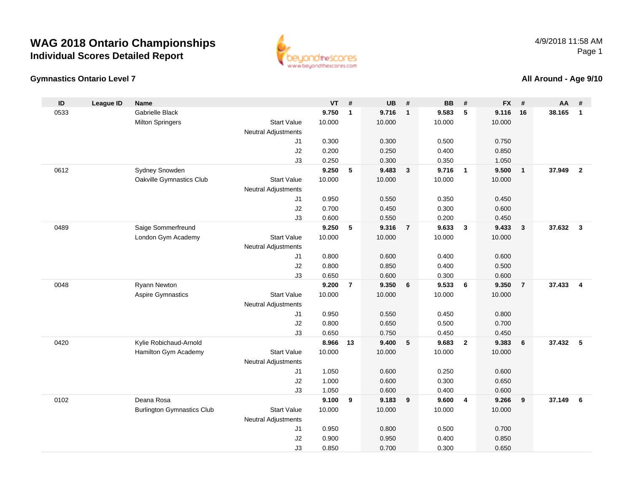### **Gymnastics Ontario Level 7**

www.beyondthescores.com

#### **All Around - Age 9/10**

| ID   | <b>League ID</b> | <b>Name</b>                       |                                  | <b>VT</b> | #              | <b>UB</b> | #                       | <b>BB</b> | #              | <b>FX</b> | #              | <b>AA</b> | #                       |
|------|------------------|-----------------------------------|----------------------------------|-----------|----------------|-----------|-------------------------|-----------|----------------|-----------|----------------|-----------|-------------------------|
| 0533 |                  | Gabrielle Black                   |                                  | 9.750     | $\mathbf{1}$   | 9.716     | $\overline{\mathbf{1}}$ | 9.583     | 5              | 9.116     | 16             | 38.165    | $\mathbf{1}$            |
|      |                  | <b>Milton Springers</b>           | <b>Start Value</b>               | 10.000    |                | 10.000    |                         | 10.000    |                | 10.000    |                |           |                         |
|      |                  |                                   | <b>Neutral Adjustments</b>       |           |                |           |                         |           |                |           |                |           |                         |
|      |                  |                                   | J1                               | 0.300     |                | 0.300     |                         | 0.500     |                | 0.750     |                |           |                         |
|      |                  |                                   | J2                               | 0.200     |                | 0.250     |                         | 0.400     |                | 0.850     |                |           |                         |
|      |                  |                                   | J3                               | 0.250     |                | 0.300     |                         | 0.350     |                | 1.050     |                |           |                         |
| 0612 |                  | Sydney Snowden                    |                                  | 9.250     | 5              | 9.483     | $\overline{\mathbf{3}}$ | 9.716     | $\overline{1}$ | 9.500     | $\mathbf{1}$   | 37.949    | $\overline{2}$          |
|      |                  | Oakville Gymnastics Club          | <b>Start Value</b>               | 10.000    |                | 10.000    |                         | 10.000    |                | 10.000    |                |           |                         |
|      |                  |                                   | <b>Neutral Adjustments</b>       |           |                |           |                         |           |                |           |                |           |                         |
|      |                  |                                   | J1                               | 0.950     |                | 0.550     |                         | 0.350     |                | 0.450     |                |           |                         |
|      |                  |                                   | J2                               | 0.700     |                | 0.450     |                         | 0.300     |                | 0.600     |                |           |                         |
|      |                  |                                   | J3                               | 0.600     |                | 0.550     |                         | 0.200     |                | 0.450     |                |           |                         |
| 0489 |                  | Saige Sommerfreund                |                                  | 9.250     | 5              | 9.316     | $\overline{7}$          | 9.633     | $\mathbf{3}$   | 9.433     | $\mathbf 3$    | 37.632    | $\overline{\mathbf{3}}$ |
|      |                  | London Gym Academy                | <b>Start Value</b>               | 10.000    |                | 10.000    |                         | 10.000    |                | 10.000    |                |           |                         |
|      |                  |                                   | <b>Neutral Adjustments</b><br>J1 | 0.800     |                | 0.600     |                         | 0.400     |                | 0.600     |                |           |                         |
|      |                  |                                   | J2                               | 0.800     |                | 0.850     |                         | 0.400     |                | 0.500     |                |           |                         |
|      |                  |                                   | J3                               | 0.650     |                | 0.600     |                         | 0.300     |                | 0.600     |                |           |                         |
| 0048 |                  | Ryann Newton                      |                                  | 9.200     | $\overline{7}$ | 9.350     | 6                       | 9.533     | 6              | 9.350     | $\overline{7}$ | 37.433    | $\overline{4}$          |
|      |                  | <b>Aspire Gymnastics</b>          | <b>Start Value</b>               | 10.000    |                | 10.000    |                         | 10.000    |                | 10.000    |                |           |                         |
|      |                  |                                   | <b>Neutral Adjustments</b>       |           |                |           |                         |           |                |           |                |           |                         |
|      |                  |                                   | J <sub>1</sub>                   | 0.950     |                | 0.550     |                         | 0.450     |                | 0.800     |                |           |                         |
|      |                  |                                   | J2                               | 0.800     |                | 0.650     |                         | 0.500     |                | 0.700     |                |           |                         |
|      |                  |                                   | J3                               | 0.650     |                | 0.750     |                         | 0.450     |                | 0.450     |                |           |                         |
| 0420 |                  | Kylie Robichaud-Arnold            |                                  | 8.966     | 13             | 9.400     | 5                       | 9.683     | $\overline{2}$ | 9.383     | 6              | 37.432    | 5                       |
|      |                  | Hamilton Gym Academy              | <b>Start Value</b>               | 10.000    |                | 10.000    |                         | 10.000    |                | 10.000    |                |           |                         |
|      |                  |                                   | <b>Neutral Adjustments</b>       |           |                |           |                         |           |                |           |                |           |                         |
|      |                  |                                   | J <sub>1</sub>                   | 1.050     |                | 0.600     |                         | 0.250     |                | 0.600     |                |           |                         |
|      |                  |                                   | J2                               | 1.000     |                | 0.600     |                         | 0.300     |                | 0.650     |                |           |                         |
|      |                  |                                   | J3                               | 1.050     |                | 0.600     |                         | 0.400     |                | 0.600     |                |           |                         |
| 0102 |                  | Deana Rosa                        |                                  | 9.100     | 9              | 9.183     | 9                       | 9.600     | $\overline{4}$ | 9.266     | 9              | 37.149    | 6                       |
|      |                  | <b>Burlington Gymnastics Club</b> | <b>Start Value</b>               | 10.000    |                | 10.000    |                         | 10.000    |                | 10.000    |                |           |                         |
|      |                  |                                   | <b>Neutral Adjustments</b>       |           |                |           |                         |           |                |           |                |           |                         |
|      |                  |                                   | J <sub>1</sub>                   | 0.950     |                | 0.800     |                         | 0.500     |                | 0.700     |                |           |                         |
|      |                  |                                   | J2                               | 0.900     |                | 0.950     |                         | 0.400     |                | 0.850     |                |           |                         |
|      |                  |                                   | J3                               | 0.850     |                | 0.700     |                         | 0.300     |                | 0.650     |                |           |                         |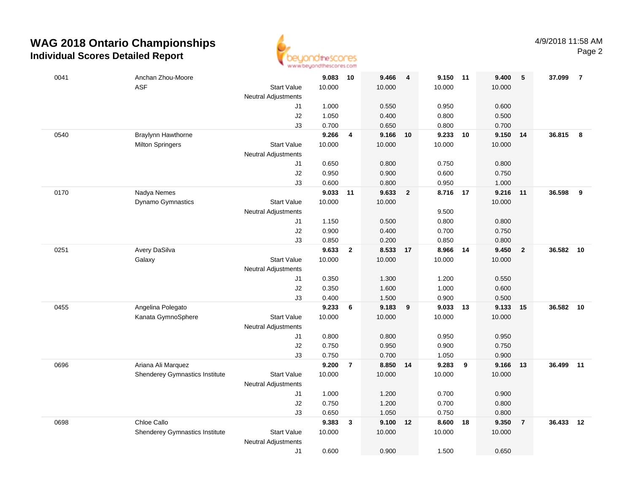

| 0041 | Anchan Zhou-Moore                     |                            | 9.083          | 10             | 9.466          | $\overline{4}$          | 9.150 11       |                | 9.400          | 5              | 37.099    | $\overline{7}$ |
|------|---------------------------------------|----------------------------|----------------|----------------|----------------|-------------------------|----------------|----------------|----------------|----------------|-----------|----------------|
|      | <b>ASF</b>                            | <b>Start Value</b>         | 10.000         |                | 10.000         |                         | 10.000         |                | 10.000         |                |           |                |
|      |                                       | <b>Neutral Adjustments</b> |                |                |                |                         |                |                |                |                |           |                |
|      |                                       | J1                         | 1.000          |                | 0.550          |                         | 0.950          |                | 0.600          |                |           |                |
|      |                                       | J2                         | 1.050          |                | 0.400          |                         | 0.800          |                | 0.500          |                |           |                |
|      |                                       | J3                         | 0.700          |                | 0.650          |                         | 0.800          |                | 0.700          |                |           |                |
| 0540 | Braylynn Hawthorne                    |                            | 9.266          | $\overline{4}$ | 9.166          | 10                      | 9.233 10       |                | 9.150          | 14             | 36.815    | 8              |
|      | <b>Milton Springers</b>               | <b>Start Value</b>         | 10.000         |                | 10.000         |                         | 10.000         |                | 10.000         |                |           |                |
|      |                                       | <b>Neutral Adjustments</b> |                |                |                |                         |                |                |                |                |           |                |
|      |                                       | J1                         | 0.650          |                | 0.800          |                         | 0.750          |                | 0.800          |                |           |                |
|      |                                       | J2                         | 0.950          |                | 0.900          |                         | 0.600          |                | 0.750          |                |           |                |
|      |                                       | J3                         | 0.600          |                | 0.800          |                         | 0.950          |                | 1.000          |                |           |                |
| 0170 | Nadya Nemes                           |                            | 9.033          | 11             | 9.633          | $\overline{\mathbf{2}}$ | 8.716 17       |                | 9.216          | 11             | 36.598    | 9              |
|      | Dynamo Gymnastics                     | <b>Start Value</b>         | 10.000         |                | 10.000         |                         |                |                | 10.000         |                |           |                |
|      |                                       | <b>Neutral Adjustments</b> |                |                |                |                         | 9.500          |                |                |                |           |                |
|      |                                       | J1                         | 1.150          |                | 0.500          |                         | 0.800          |                | 0.800          |                |           |                |
|      |                                       | J2                         | 0.900          |                | 0.400          |                         | 0.700          |                | 0.750          |                |           |                |
|      |                                       | J3                         | 0.850          |                | 0.200          |                         | 0.850          |                | 0.800          |                |           |                |
| 0251 | Avery DaSilva                         |                            | 9.633          | $\overline{2}$ | 8.533 17       |                         | 8.966          | 14             | 9.450          | $\overline{2}$ | 36.582 10 |                |
|      | Galaxy                                | <b>Start Value</b>         | 10.000         |                | 10.000         |                         | 10.000         |                | 10.000         |                |           |                |
|      |                                       | <b>Neutral Adjustments</b> |                |                |                |                         |                |                |                |                |           |                |
|      |                                       | J1                         | 0.350          |                | 1.300          |                         | 1.200          |                | 0.550          |                |           |                |
|      |                                       | $\sf J2$                   | 0.350          |                | 1.600          |                         | 1.000          |                | 0.600          |                |           |                |
|      |                                       | J3                         | 0.400          |                | 1.500          |                         | 0.900          |                | 0.500          |                |           |                |
| 0455 | Angelina Polegato                     |                            | 9.233          | 6              | 9.183          | 9                       | 9.033          | 13             | 9.133          | 15             | 36.582    | 10             |
|      | Kanata GymnoSphere                    | <b>Start Value</b>         | 10.000         |                | 10.000         |                         | 10.000         |                | 10.000         |                |           |                |
|      |                                       | <b>Neutral Adjustments</b> |                |                |                |                         |                |                |                |                |           |                |
|      |                                       | J1<br>J2                   | 0.800<br>0.750 |                | 0.800<br>0.950 |                         | 0.950<br>0.900 |                | 0.950<br>0.750 |                |           |                |
|      |                                       | J3                         | 0.750          |                | 0.700          |                         | 1.050          |                | 0.900          |                |           |                |
| 0696 | Ariana Ali Marquez                    |                            | 9.200          | $\overline{7}$ | 8.850          | 14                      | 9.283          | $\overline{9}$ | 9.166          | 13             | 36.499 11 |                |
|      | <b>Shenderey Gymnastics Institute</b> | <b>Start Value</b>         | 10.000         |                | 10.000         |                         | 10.000         |                | 10.000         |                |           |                |
|      |                                       | <b>Neutral Adjustments</b> |                |                |                |                         |                |                |                |                |           |                |
|      |                                       | J1                         | 1.000          |                | 1.200          |                         | 0.700          |                | 0.900          |                |           |                |
|      |                                       | J2                         | 0.750          |                | 1.200          |                         | 0.700          |                | 0.800          |                |           |                |
|      |                                       | J3                         | 0.650          |                | 1.050          |                         | 0.750          |                | 0.800          |                |           |                |
| 0698 | Chloe Callo                           |                            | 9.383          | $\mathbf{3}$   | 9.100          | 12                      | 8.600          | 18             | 9.350          | $\overline{7}$ | 36.433    | 12             |
|      | Shenderey Gymnastics Institute        | <b>Start Value</b>         | 10.000         |                | 10.000         |                         | 10.000         |                | 10.000         |                |           |                |
|      |                                       | <b>Neutral Adjustments</b> |                |                |                |                         |                |                |                |                |           |                |
|      |                                       | J1                         | 0.600          |                | 0.900          |                         | 1.500          |                | 0.650          |                |           |                |
|      |                                       |                            |                |                |                |                         |                |                |                |                |           |                |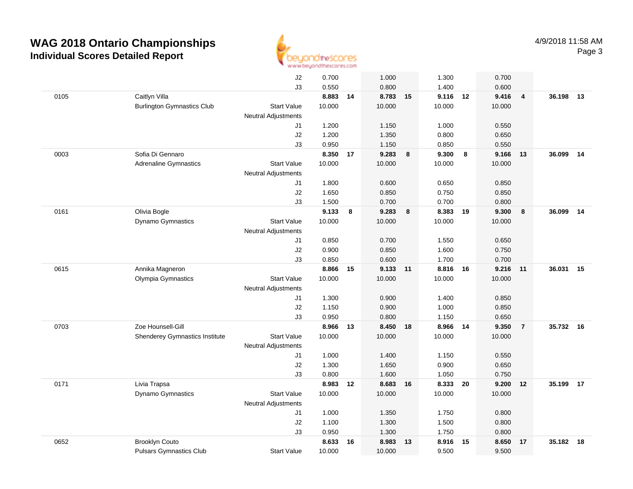

|      |                                   | J2                         | 0.700  |    | 1.000  |    | 1.300    |    | 0.700  |                         |           |    |
|------|-----------------------------------|----------------------------|--------|----|--------|----|----------|----|--------|-------------------------|-----------|----|
|      |                                   | J3                         | 0.550  |    | 0.800  |    | 1.400    |    | 0.600  |                         |           |    |
| 0105 | Caitlyn Villa                     |                            | 8.883  | 14 | 8.783  | 15 | 9.116    | 12 | 9.416  | $\overline{\mathbf{4}}$ | 36.198 13 |    |
|      | <b>Burlington Gymnastics Club</b> | <b>Start Value</b>         | 10.000 |    | 10.000 |    | 10.000   |    | 10.000 |                         |           |    |
|      |                                   | <b>Neutral Adjustments</b> |        |    |        |    |          |    |        |                         |           |    |
|      |                                   | J1                         | 1.200  |    | 1.150  |    | 1.000    |    | 0.550  |                         |           |    |
|      |                                   | J2                         | 1.200  |    | 1.350  |    | 0.800    |    | 0.650  |                         |           |    |
|      |                                   | J3                         | 0.950  |    | 1.150  |    | 0.850    |    | 0.550  |                         |           |    |
| 0003 | Sofia Di Gennaro                  |                            | 8.350  | 17 | 9.283  | 8  | 9.300    | 8  | 9.166  | 13                      | 36.099    | 14 |
|      | <b>Adrenaline Gymnastics</b>      | <b>Start Value</b>         | 10.000 |    | 10.000 |    | 10.000   |    | 10.000 |                         |           |    |
|      |                                   | <b>Neutral Adjustments</b> |        |    |        |    |          |    |        |                         |           |    |
|      |                                   | J1                         | 1.800  |    | 0.600  |    | 0.650    |    | 0.850  |                         |           |    |
|      |                                   | J2                         | 1.650  |    | 0.850  |    | 0.750    |    | 0.850  |                         |           |    |
|      |                                   | J3                         | 1.500  |    | 0.700  |    | 0.700    |    | 0.800  |                         |           |    |
| 0161 | Olivia Bogle                      |                            | 9.133  | 8  | 9.283  | 8  | 8.383 19 |    | 9.300  | 8                       | 36.099    | 14 |
|      | Dynamo Gymnastics                 | <b>Start Value</b>         | 10.000 |    | 10.000 |    | 10.000   |    | 10.000 |                         |           |    |
|      |                                   | <b>Neutral Adjustments</b> |        |    |        |    |          |    |        |                         |           |    |
|      |                                   | J1                         | 0.850  |    | 0.700  |    | 1.550    |    | 0.650  |                         |           |    |
|      |                                   | J2                         | 0.900  |    | 0.850  |    | 1.600    |    | 0.750  |                         |           |    |
|      |                                   | J3                         | 0.850  |    | 0.600  |    | 1.700    |    | 0.700  |                         |           |    |
| 0615 | Annika Magneron                   |                            | 8.866  | 15 | 9.133  | 11 | 8.816    | 16 | 9.216  | 11                      | 36.031    | 15 |
|      | Olympia Gymnastics                | <b>Start Value</b>         | 10.000 |    | 10.000 |    | 10.000   |    | 10.000 |                         |           |    |
|      |                                   | <b>Neutral Adjustments</b> |        |    |        |    |          |    |        |                         |           |    |
|      |                                   | J1                         | 1.300  |    | 0.900  |    | 1.400    |    | 0.850  |                         |           |    |
|      |                                   | J2                         | 1.150  |    | 0.900  |    | 1.000    |    | 0.850  |                         |           |    |
|      |                                   | J3                         | 0.950  |    | 0.800  |    | 1.150    |    | 0.650  |                         |           |    |
| 0703 | Zoe Hounsell-Gill                 |                            | 8.966  | 13 | 8.450  | 18 | 8.966    | 14 | 9.350  | $\overline{7}$          | 35.732    | 16 |
|      | Shenderey Gymnastics Institute    | <b>Start Value</b>         | 10.000 |    | 10.000 |    | 10.000   |    | 10.000 |                         |           |    |
|      |                                   | Neutral Adjustments        |        |    |        |    |          |    |        |                         |           |    |
|      |                                   | J1                         | 1.000  |    | 1.400  |    | 1.150    |    | 0.550  |                         |           |    |
|      |                                   | J2                         | 1.300  |    | 1.650  |    | 0.900    |    | 0.650  |                         |           |    |
|      |                                   | J3                         | 0.800  |    | 1.600  |    | 1.050    |    | 0.750  |                         |           |    |
| 0171 | Livia Trapsa                      |                            | 8.983  | 12 | 8.683  | 16 | 8.333    | 20 | 9.200  | 12                      | 35.199 17 |    |
|      | Dynamo Gymnastics                 | <b>Start Value</b>         | 10.000 |    | 10.000 |    | 10.000   |    | 10.000 |                         |           |    |
|      |                                   | <b>Neutral Adjustments</b> |        |    |        |    |          |    |        |                         |           |    |
|      |                                   | J1                         | 1.000  |    | 1.350  |    | 1.750    |    | 0.800  |                         |           |    |
|      |                                   | J2                         | 1.100  |    | 1.300  |    | 1.500    |    | 0.800  |                         |           |    |
|      |                                   | J3                         | 0.950  |    | 1.300  |    | 1.750    |    | 0.800  |                         |           |    |
| 0652 | <b>Brooklyn Couto</b>             |                            | 8.633  | 16 | 8.983  | 13 | 8.916    | 15 | 8.650  | 17                      | 35.182    | 18 |
|      | <b>Pulsars Gymnastics Club</b>    | <b>Start Value</b>         | 10.000 |    | 10.000 |    | 9.500    |    | 9.500  |                         |           |    |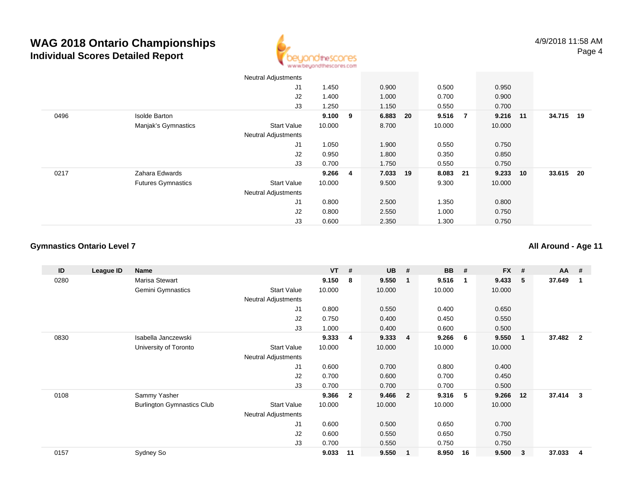

|      |                           | <b>Neutral Adjustments</b> |         |          |          |          |    |           |  |
|------|---------------------------|----------------------------|---------|----------|----------|----------|----|-----------|--|
|      |                           | J1                         | 1.450   | 0.900    | 0.500    | 0.950    |    |           |  |
|      |                           | J2                         | 1.400   | 1.000    | 0.700    | 0.900    |    |           |  |
|      |                           | J3                         | 1.250   | 1.150    | 0.550    | 0.700    |    |           |  |
| 0496 | <b>Isolde Barton</b>      |                            | 9.100 9 | 6.883 20 | 9.516 7  | 9.216 11 |    | 34.715 19 |  |
|      | Manjak's Gymnastics       | <b>Start Value</b>         | 10.000  | 8.700    | 10.000   | 10.000   |    |           |  |
|      |                           | <b>Neutral Adjustments</b> |         |          |          |          |    |           |  |
|      |                           | J1                         | 1.050   | 1.900    | 0.550    | 0.750    |    |           |  |
|      |                           | J2                         | 0.950   | 1.800    | 0.350    | 0.850    |    |           |  |
|      |                           | J3                         | 0.700   | 1.750    | 0.550    | 0.750    |    |           |  |
| 0217 | Zahara Edwards            |                            | 9.266 4 | 7.033 19 | 8.083 21 | 9.233    | 10 | 33.615 20 |  |
|      | <b>Futures Gymnastics</b> | <b>Start Value</b>         | 10.000  | 9.500    | 9.300    | 10.000   |    |           |  |
|      |                           | <b>Neutral Adjustments</b> |         |          |          |          |    |           |  |
|      |                           | J1                         | 0.800   | 2.500    | 1.350    | 0.800    |    |           |  |
|      |                           | J2                         | 0.800   | 2.550    | 1.000    | 0.750    |    |           |  |
|      |                           | J3                         | 0.600   | 2.350    | 1.300    | 0.750    |    |           |  |

### **Gymnastics Ontario Level 7**

**All Around - Age 11**

| ID   | League ID | Name                              |                            | $VT$ # |              | <b>UB</b> | - #                     | <b>BB</b> | #           | <b>FX</b> | #            | $AA$ # |                |
|------|-----------|-----------------------------------|----------------------------|--------|--------------|-----------|-------------------------|-----------|-------------|-----------|--------------|--------|----------------|
| 0280 |           | Marisa Stewart                    |                            | 9.150  | 8            | 9.550     | $\mathbf{1}$            | 9.516     | $\mathbf 1$ | 9.433     | 5            | 37.649 | 1              |
|      |           | Gemini Gymnastics                 | <b>Start Value</b>         | 10.000 |              | 10.000    |                         | 10.000    |             | 10.000    |              |        |                |
|      |           |                                   | <b>Neutral Adjustments</b> |        |              |           |                         |           |             |           |              |        |                |
|      |           |                                   | J1                         | 0.800  |              | 0.550     |                         | 0.400     |             | 0.650     |              |        |                |
|      |           |                                   | J <sub>2</sub>             | 0.750  |              | 0.400     |                         | 0.450     |             | 0.550     |              |        |                |
|      |           |                                   | J3                         | 1.000  |              | 0.400     |                         | 0.600     |             | 0.500     |              |        |                |
| 0830 |           | Isabella Janczewski               |                            | 9.333  | 4            | 9.333     | $\overline{\mathbf{4}}$ | 9.266     | - 6         | 9.550     | $\mathbf{1}$ | 37.482 | $\overline{2}$ |
|      |           | University of Toronto             | <b>Start Value</b>         | 10.000 |              | 10.000    |                         | 10.000    |             | 10.000    |              |        |                |
|      |           |                                   | Neutral Adjustments        |        |              |           |                         |           |             |           |              |        |                |
|      |           |                                   | J1                         | 0.600  |              | 0.700     |                         | 0.800     |             | 0.400     |              |        |                |
|      |           |                                   | J2                         | 0.700  |              | 0.600     |                         | 0.700     |             | 0.450     |              |        |                |
|      |           |                                   | J3                         | 0.700  |              | 0.700     |                         | 0.700     |             | 0.500     |              |        |                |
| 0108 |           | Sammy Yasher                      |                            | 9.366  | $\mathbf{2}$ | 9.466     | $\overline{\mathbf{2}}$ | 9.316     | -5          | 9.266     | 12           | 37.414 | 3              |
|      |           | <b>Burlington Gymnastics Club</b> | <b>Start Value</b>         | 10.000 |              | 10.000    |                         | 10.000    |             | 10.000    |              |        |                |
|      |           |                                   | <b>Neutral Adjustments</b> |        |              |           |                         |           |             |           |              |        |                |
|      |           |                                   | J1                         | 0.600  |              | 0.500     |                         | 0.650     |             | 0.700     |              |        |                |
|      |           |                                   | J <sub>2</sub>             | 0.600  |              | 0.550     |                         | 0.650     |             | 0.750     |              |        |                |
|      |           |                                   | J3                         | 0.700  |              | 0.550     |                         | 0.750     |             | 0.750     |              |        |                |
| 0157 |           | Sydney So                         |                            | 9.033  | 11           | 9.550     | -1                      | 8.950     | 16          | 9.500     | 3            | 37.033 | 4              |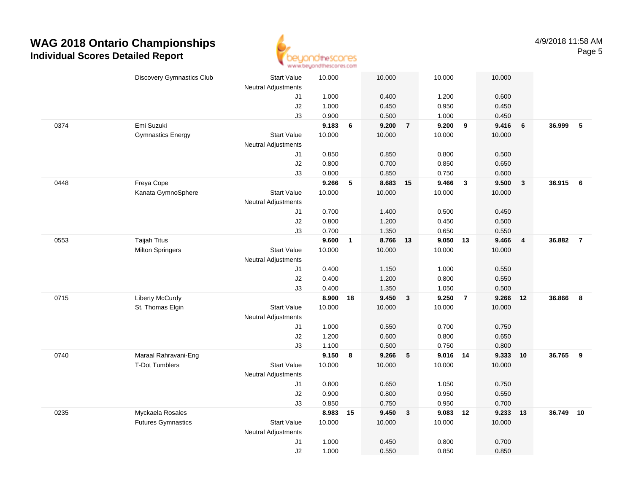

|      | <b>Discovery Gymnastics Club</b> | <b>Start Value</b>         | 10.000 |                      | 10.000 |                | 10.000   |                         | 10.000 |                         |        |                |
|------|----------------------------------|----------------------------|--------|----------------------|--------|----------------|----------|-------------------------|--------|-------------------------|--------|----------------|
|      |                                  | Neutral Adjustments        |        |                      |        |                |          |                         |        |                         |        |                |
|      |                                  | J1                         | 1.000  |                      | 0.400  |                | 1.200    |                         | 0.600  |                         |        |                |
|      |                                  | J2                         | 1.000  |                      | 0.450  |                | 0.950    |                         | 0.450  |                         |        |                |
|      |                                  | J3                         | 0.900  |                      | 0.500  |                | 1.000    |                         | 0.450  |                         |        |                |
| 0374 | Emi Suzuki                       |                            | 9.183  | 6                    | 9.200  | $\overline{7}$ | 9.200    | $\overline{\mathbf{9}}$ | 9.416  | 6                       | 36.999 | 5              |
|      | <b>Gymnastics Energy</b>         | <b>Start Value</b>         | 10.000 |                      | 10.000 |                | 10.000   |                         | 10.000 |                         |        |                |
|      |                                  | <b>Neutral Adjustments</b> |        |                      |        |                |          |                         |        |                         |        |                |
|      |                                  | J1                         | 0.850  |                      | 0.850  |                | 0.800    |                         | 0.500  |                         |        |                |
|      |                                  | J2                         | 0.800  |                      | 0.700  |                | 0.850    |                         | 0.650  |                         |        |                |
|      |                                  | J3                         | 0.800  |                      | 0.850  |                | 0.750    |                         | 0.600  |                         |        |                |
| 0448 | Freya Cope                       |                            | 9.266  | 5                    | 8.683  | 15             | 9.466    | $\overline{\mathbf{3}}$ | 9.500  | $\overline{\mathbf{3}}$ | 36.915 | 6              |
|      | Kanata GymnoSphere               | <b>Start Value</b>         | 10.000 |                      | 10.000 |                | 10.000   |                         | 10.000 |                         |        |                |
|      |                                  | <b>Neutral Adjustments</b> |        |                      |        |                |          |                         |        |                         |        |                |
|      |                                  | J1                         | 0.700  |                      | 1.400  |                | 0.500    |                         | 0.450  |                         |        |                |
|      |                                  | J2                         | 0.800  |                      | 1.200  |                | 0.450    |                         | 0.500  |                         |        |                |
|      |                                  | J3                         | 0.700  |                      | 1.350  |                | 0.650    |                         | 0.550  |                         |        |                |
| 0553 | <b>Taijah Titus</b>              |                            | 9.600  | $\blacktriangleleft$ | 8.766  | 13             | 9.050 13 |                         | 9.466  | $\overline{4}$          | 36.882 | $\overline{7}$ |
|      | <b>Milton Springers</b>          | <b>Start Value</b>         | 10.000 |                      | 10.000 |                | 10.000   |                         | 10.000 |                         |        |                |
|      |                                  | <b>Neutral Adjustments</b> |        |                      |        |                |          |                         |        |                         |        |                |
|      |                                  | J1                         | 0.400  |                      | 1.150  |                | 1.000    |                         | 0.550  |                         |        |                |
|      |                                  | J2                         | 0.400  |                      | 1.200  |                | 0.800    |                         | 0.550  |                         |        |                |
|      |                                  | J3                         | 0.400  |                      | 1.350  |                | 1.050    |                         | 0.500  |                         |        |                |
| 0715 | <b>Liberty McCurdy</b>           |                            | 8.900  | 18                   | 9.450  | $\mathbf{3}$   | 9.250    | $\overline{7}$          | 9.266  | 12                      | 36.866 | 8              |
|      | St. Thomas Elgin                 | <b>Start Value</b>         | 10.000 |                      | 10.000 |                | 10.000   |                         | 10.000 |                         |        |                |
|      |                                  | <b>Neutral Adjustments</b> |        |                      |        |                |          |                         |        |                         |        |                |
|      |                                  | J1                         | 1.000  |                      | 0.550  |                | 0.700    |                         | 0.750  |                         |        |                |
|      |                                  | J2                         | 1.200  |                      | 0.600  |                | 0.800    |                         | 0.650  |                         |        |                |
|      |                                  | J3                         | 1.100  |                      | 0.500  |                | 0.750    |                         | 0.800  |                         |        |                |
| 0740 | Maraal Rahravani-Eng             |                            | 9.150  | 8                    | 9.266  | 5              | 9.016 14 |                         | 9.333  | 10                      | 36.765 | 9              |
|      | <b>T-Dot Tumblers</b>            | <b>Start Value</b>         | 10.000 |                      | 10.000 |                | 10.000   |                         | 10.000 |                         |        |                |
|      |                                  | <b>Neutral Adjustments</b> |        |                      |        |                |          |                         |        |                         |        |                |
|      |                                  | J1                         | 0.800  |                      | 0.650  |                | 1.050    |                         | 0.750  |                         |        |                |
|      |                                  | J2                         | 0.900  |                      | 0.800  |                | 0.950    |                         | 0.550  |                         |        |                |
|      |                                  | J3                         | 0.850  |                      | 0.750  |                | 0.950    |                         | 0.700  |                         |        |                |
| 0235 | Myckaela Rosales                 |                            | 8.983  | 15                   | 9.450  | $\mathbf{3}$   | 9.083    | 12                      | 9.233  | 13                      | 36.749 | 10             |
|      | <b>Futures Gymnastics</b>        | Start Value                | 10.000 |                      | 10.000 |                | 10.000   |                         | 10.000 |                         |        |                |
|      |                                  | <b>Neutral Adjustments</b> |        |                      |        |                |          |                         |        |                         |        |                |
|      |                                  | J1                         | 1.000  |                      | 0.450  |                | 0.800    |                         | 0.700  |                         |        |                |
|      |                                  | J2                         | 1.000  |                      | 0.550  |                | 0.850    |                         | 0.850  |                         |        |                |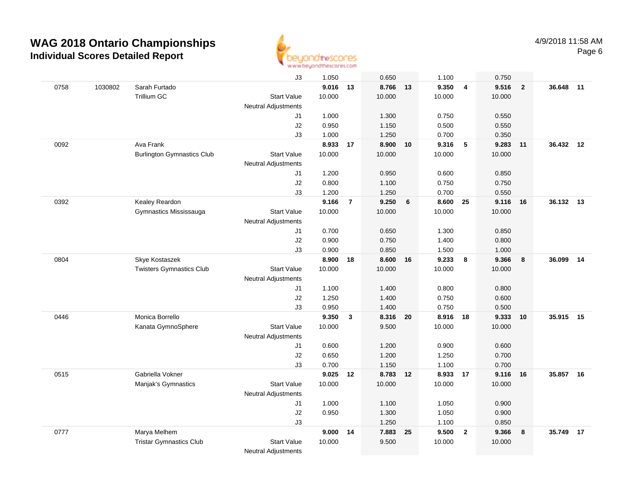

|      |         |                                   | J3                         | 1.050    |                | 0.650    |      | 1.100    |                         | 0.750  |                |        |    |
|------|---------|-----------------------------------|----------------------------|----------|----------------|----------|------|----------|-------------------------|--------|----------------|--------|----|
| 0758 | 1030802 | Sarah Furtado                     |                            | 9.016 13 |                | 8.766 13 |      | 9.350    | $\overline{4}$          | 9.516  | $\overline{2}$ | 36.648 | 11 |
|      |         | Trillium GC                       | <b>Start Value</b>         | 10.000   |                | 10.000   |      | 10.000   |                         | 10.000 |                |        |    |
|      |         |                                   | <b>Neutral Adjustments</b> |          |                |          |      |          |                         |        |                |        |    |
|      |         |                                   | J1                         | 1.000    |                | 1.300    |      | 0.750    |                         | 0.550  |                |        |    |
|      |         |                                   | J2                         | 0.950    |                | 1.150    |      | 0.500    |                         | 0.550  |                |        |    |
|      |         |                                   | J3                         | 1.000    |                | 1.250    |      | 0.700    |                         | 0.350  |                |        |    |
| 0092 |         | Ava Frank                         |                            | 8.933    | 17             | 8.900    | 10   | 9.316    | 5                       | 9.283  | 11             | 36.432 | 12 |
|      |         | <b>Burlington Gymnastics Club</b> | <b>Start Value</b>         | 10.000   |                | 10.000   |      | 10.000   |                         | 10.000 |                |        |    |
|      |         |                                   | <b>Neutral Adjustments</b> |          |                |          |      |          |                         |        |                |        |    |
|      |         |                                   | J1                         | 1.200    |                | 0.950    |      | 0.600    |                         | 0.850  |                |        |    |
|      |         |                                   | J2                         | 0.800    |                | 1.100    |      | 0.750    |                         | 0.750  |                |        |    |
|      |         |                                   | J3                         | 1.200    |                | 1.250    |      | 0.700    |                         | 0.550  |                |        |    |
| 0392 |         | Kealey Reardon                    |                            | 9.166    | $\overline{7}$ | 9.250    | 6    | 8.600    | 25                      | 9.116  | 16             | 36.132 | 13 |
|      |         | Gymnastics Mississauga            | <b>Start Value</b>         | 10.000   |                | 10.000   |      | 10.000   |                         | 10.000 |                |        |    |
|      |         |                                   | Neutral Adjustments        |          |                |          |      |          |                         |        |                |        |    |
|      |         |                                   | J1                         | 0.700    |                | 0.650    |      | 1.300    |                         | 0.850  |                |        |    |
|      |         |                                   | J2                         | 0.900    |                | 0.750    |      | 1.400    |                         | 0.800  |                |        |    |
|      |         |                                   | J3                         | 0.900    |                | 0.850    |      | 1.500    |                         | 1.000  |                |        |    |
| 0804 |         | Skye Kostaszek                    |                            | 8.900    | 18             | 8.600 16 |      | 9.233    | $\overline{\mathbf{8}}$ | 9.366  | 8              | 36.099 | 14 |
|      |         | <b>Twisters Gymnastics Club</b>   | <b>Start Value</b>         | 10.000   |                | 10.000   |      | 10.000   |                         | 10.000 |                |        |    |
|      |         |                                   | <b>Neutral Adjustments</b> |          |                |          |      |          |                         |        |                |        |    |
|      |         |                                   | J1                         | 1.100    |                | 1.400    |      | 0.800    |                         | 0.800  |                |        |    |
|      |         |                                   | J2                         | 1.250    |                | 1.400    |      | 0.750    |                         | 0.600  |                |        |    |
|      |         |                                   | J3                         | 0.950    |                | 1.400    |      | 0.750    |                         | 0.500  |                |        |    |
| 0446 |         | Monica Borrello                   |                            | 9.350    | $\mathbf{3}$   | 8.316    | 20   | 8.916    | 18                      | 9.333  | 10             | 35.915 | 15 |
|      |         | Kanata GymnoSphere                | <b>Start Value</b>         | 10.000   |                | 9.500    |      | 10.000   |                         | 10.000 |                |        |    |
|      |         |                                   | <b>Neutral Adjustments</b> |          |                |          |      |          |                         |        |                |        |    |
|      |         |                                   | J1                         | 0.600    |                | 1.200    |      | 0.900    |                         | 0.600  |                |        |    |
|      |         |                                   | J2                         | 0.650    |                | 1.200    |      | 1.250    |                         | 0.700  |                |        |    |
|      |         |                                   | J3                         | 0.700    |                | 1.150    |      | 1.100    |                         | 0.700  |                |        |    |
| 0515 |         | Gabriella Vokner                  |                            | 9.025 12 |                | 8.783 12 |      | 8.933 17 |                         | 9.116  | 16             | 35.857 | 16 |
|      |         | Manjak's Gymnastics               | <b>Start Value</b>         | 10.000   |                | 10.000   |      | 10.000   |                         | 10.000 |                |        |    |
|      |         |                                   | <b>Neutral Adjustments</b> |          |                |          |      |          |                         |        |                |        |    |
|      |         |                                   | J1                         | 1.000    |                | 1.100    |      | 1.050    |                         | 0.900  |                |        |    |
|      |         |                                   | J2                         | 0.950    |                | 1.300    |      | 1.050    |                         | 0.900  |                |        |    |
|      |         |                                   | J3                         |          |                | 1.250    |      | 1.100    |                         | 0.850  |                |        |    |
| 0777 |         | Marya Melhem                      |                            | 9.000    | 14             | 7.883    | - 25 | 9.500    | $\overline{2}$          | 9.366  | 8              | 35.749 | 17 |
|      |         | <b>Tristar Gymnastics Club</b>    | <b>Start Value</b>         | 10.000   |                | 9.500    |      | 10.000   |                         | 10.000 |                |        |    |
|      |         |                                   | <b>Neutral Adjustments</b> |          |                |          |      |          |                         |        |                |        |    |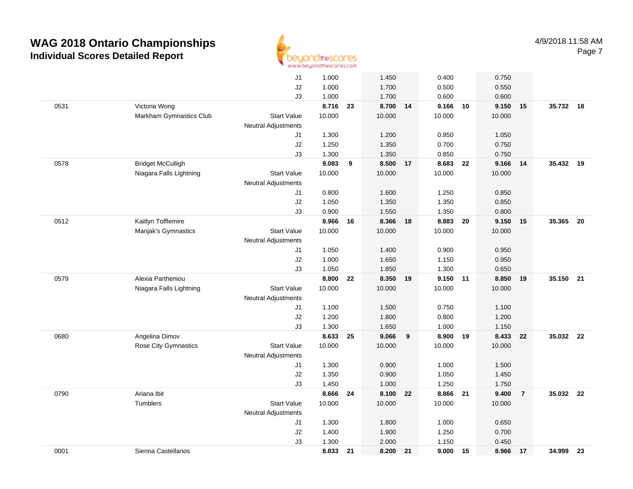

|      |                          | J1                         | 1.000  |    | 1.450    |    | 0.400    |    | 0.750  |                |           |      |
|------|--------------------------|----------------------------|--------|----|----------|----|----------|----|--------|----------------|-----------|------|
|      |                          | J2                         | 1.000  |    | 1.700    |    | 0.500    |    | 0.550  |                |           |      |
|      |                          | J3                         | 1.000  |    | 1.700    |    | 0.600    |    | 0.600  |                |           |      |
| 0531 | Victoria Wong            |                            | 8.716  | 23 | 8.700 14 |    | 9.166 10 |    | 9.150  | 15             | 35.732 18 |      |
|      | Markham Gymnastics Club  | <b>Start Value</b>         | 10.000 |    | 10.000   |    | 10.000   |    | 10.000 |                |           |      |
|      |                          | <b>Neutral Adjustments</b> |        |    |          |    |          |    |        |                |           |      |
|      |                          | J1                         | 1.300  |    | 1.200    |    | 0.950    |    | 1.050  |                |           |      |
|      |                          | J2                         | 1.250  |    | 1.350    |    | 0.700    |    | 0.750  |                |           |      |
|      |                          | J3                         | 1.300  |    | 1.350    |    | 0.850    |    | 0.750  |                |           |      |
| 0578 | <b>Bridget McCulligh</b> |                            | 9.083  | 9  | 8.500    | 17 | 8.683    | 22 | 9.166  | 14             | 35.432 19 |      |
|      | Niagara Falls Lightning  | <b>Start Value</b>         | 10.000 |    | 10.000   |    | 10.000   |    | 10.000 |                |           |      |
|      |                          | <b>Neutral Adjustments</b> |        |    |          |    |          |    |        |                |           |      |
|      |                          | J1                         | 0.800  |    | 1.600    |    | 1.250    |    | 0.850  |                |           |      |
|      |                          | J2                         | 1.050  |    | 1.350    |    | 1.350    |    | 0.850  |                |           |      |
|      |                          | J3                         | 0.900  |    | 1.550    |    | 1.350    |    | 0.800  |                |           |      |
| 0512 | Kaitlyn Tofflemire       |                            | 8.966  | 16 | 8.366 18 |    | 8.883 20 |    | 9.150  | 15             | 35.365    | - 20 |
|      | Manjak's Gymnastics      | <b>Start Value</b>         | 10.000 |    | 10.000   |    | 10.000   |    | 10.000 |                |           |      |
|      |                          | <b>Neutral Adjustments</b> |        |    |          |    |          |    |        |                |           |      |
|      |                          | J1                         | 1.050  |    | 1.400    |    | 0.900    |    | 0.950  |                |           |      |
|      |                          | J2                         | 1.000  |    | 1.650    |    | 1.150    |    | 0.950  |                |           |      |
|      |                          | J3                         | 1.050  |    | 1.850    |    | 1.300    |    | 0.650  |                |           |      |
| 0579 | Alexia Partheniou        |                            | 8.800  | 22 | 8.350    | 19 | 9.150 11 |    | 8.850  | 19             | 35.150    | 21   |
|      | Niagara Falls Lightning  | <b>Start Value</b>         | 10.000 |    | 10.000   |    | 10.000   |    | 10.000 |                |           |      |
|      |                          | <b>Neutral Adjustments</b> |        |    |          |    |          |    |        |                |           |      |
|      |                          | J1                         | 1.100  |    | 1.500    |    | 0.750    |    | 1.100  |                |           |      |
|      |                          | $\sf J2$                   | 1.200  |    | 1.800    |    | 0.800    |    | 1.200  |                |           |      |
|      |                          | J3                         | 1.300  |    | 1.650    |    | 1.000    |    | 1.150  |                |           |      |
| 0680 | Angelina Dimov           |                            | 8.633  | 25 | 9.066    | 9  | 8.900 19 |    | 8.433  | 22             | 35.032    | 22   |
|      | Rose City Gymnastics     | <b>Start Value</b>         | 10.000 |    | 10.000   |    | 10.000   |    | 10.000 |                |           |      |
|      |                          | <b>Neutral Adjustments</b> |        |    |          |    |          |    |        |                |           |      |
|      |                          | J1                         | 1.300  |    | 0.900    |    | 1.000    |    | 1.500  |                |           |      |
|      |                          | J2                         | 1.350  |    | 0.900    |    | 1.050    |    | 1.450  |                |           |      |
|      |                          | J3                         | 1.450  |    | 1.000    |    | 1.250    |    | 1.750  |                |           |      |
| 0790 | Ariana Ibit              |                            | 8.666  | 24 | 8.100    | 22 | 8.866    | 21 | 9.400  | $\overline{7}$ | 35.032 22 |      |
|      | <b>Tumblers</b>          | <b>Start Value</b>         | 10.000 |    | 10.000   |    | 10.000   |    | 10.000 |                |           |      |
|      |                          | Neutral Adjustments        |        |    |          |    |          |    |        |                |           |      |
|      |                          | J1                         | 1.300  |    | 1.800    |    | 1.000    |    | 0.650  |                |           |      |
|      |                          | J2                         | 1.400  |    | 1.900    |    | 1.250    |    | 0.700  |                |           |      |
|      |                          | J3                         | 1.300  |    | 2.000    |    | 1.150    |    | 0.450  |                |           |      |
| 0001 | Sienna Castellanos       |                            | 8.833  | 21 | 8.200    | 21 | 9.000 15 |    | 8.966  | 17             | 34.999    | - 23 |
|      |                          |                            |        |    |          |    |          |    |        |                |           |      |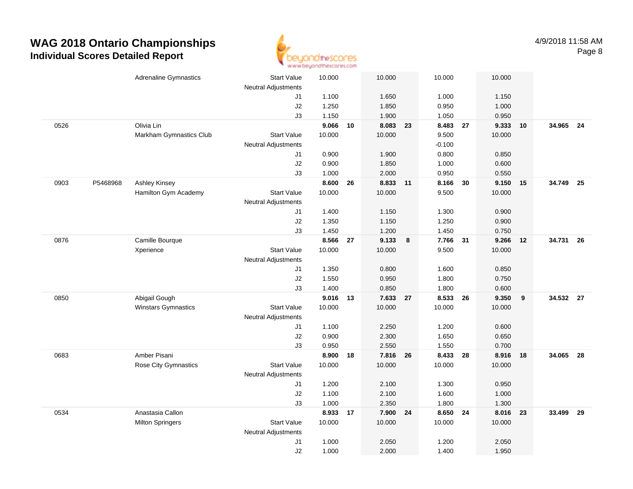

|      |          | <b>Adrenaline Gymnastics</b> | <b>Start Value</b>         | 10.000   |    | 10.000   |    | 10.000   | 10.000      |      |           |    |
|------|----------|------------------------------|----------------------------|----------|----|----------|----|----------|-------------|------|-----------|----|
|      |          |                              | <b>Neutral Adjustments</b> |          |    |          |    |          |             |      |           |    |
|      |          |                              | J1                         | 1.100    |    | 1.650    |    | 1.000    | 1.150       |      |           |    |
|      |          |                              | J2                         | 1.250    |    | 1.850    |    | 0.950    | 1.000       |      |           |    |
|      |          |                              | J3                         | 1.150    |    | 1.900    |    | 1.050    | 0.950       |      |           |    |
| 0526 |          | Olivia Lin                   |                            | 9.066    | 10 | 8.083    | 23 | 8.483 27 | 9.333       | 10   | 34.965 24 |    |
|      |          | Markham Gymnastics Club      | <b>Start Value</b>         | 10.000   |    | 10.000   |    | 9.500    | 10.000      |      |           |    |
|      |          |                              | <b>Neutral Adjustments</b> |          |    |          |    | $-0.100$ |             |      |           |    |
|      |          |                              | J1                         | 0.900    |    | 1.900    |    | 0.800    | 0.850       |      |           |    |
|      |          |                              | J2                         | 0.900    |    | 1.850    |    | 1.000    | 0.600       |      |           |    |
|      |          |                              | J3                         | 1.000    |    | 2.000    |    | 0.950    | 0.550       |      |           |    |
| 0903 | P5468968 | <b>Ashley Kinsey</b>         |                            | 8.600    | 26 | 8.833    | 11 | 8.166    | 30<br>9.150 | - 15 | 34.749    | 25 |
|      |          | Hamilton Gym Academy         | <b>Start Value</b>         | 10.000   |    | 10.000   |    | 9.500    | 10.000      |      |           |    |
|      |          |                              | <b>Neutral Adjustments</b> |          |    |          |    |          |             |      |           |    |
|      |          |                              | J1                         | 1.400    |    | 1.150    |    | 1.300    | 0.900       |      |           |    |
|      |          |                              | J2                         | 1.350    |    | 1.150    |    | 1.250    | 0.900       |      |           |    |
|      |          |                              | J3                         | 1.450    |    | 1.200    |    | 1.450    | 0.750       |      |           |    |
| 0876 |          | Camille Bourque              |                            | 8.566 27 |    | 9.133    | 8  | 7.766    | 9.266<br>31 | 12   | 34.731 26 |    |
|      |          | Xperience                    | <b>Start Value</b>         | 10.000   |    | 10.000   |    | 9.500    | 10.000      |      |           |    |
|      |          |                              | <b>Neutral Adjustments</b> |          |    |          |    |          |             |      |           |    |
|      |          |                              | J1                         | 1.350    |    | 0.800    |    | 1.600    | 0.850       |      |           |    |
|      |          |                              | J2                         | 1.550    |    | 0.950    |    | 1.800    | 0.750       |      |           |    |
|      |          |                              | J3                         | 1.400    |    | 0.850    |    | 1.800    | 0.600       |      |           |    |
| 0850 |          | Abigail Gough                |                            | 9.016    | 13 | 7.633    | 27 | 8.533    | 26<br>9.350 | 9    | 34.532 27 |    |
|      |          | Winstars Gymnastics          | <b>Start Value</b>         | 10.000   |    | 10.000   |    | 10.000   | 10.000      |      |           |    |
|      |          |                              | <b>Neutral Adjustments</b> |          |    |          |    |          |             |      |           |    |
|      |          |                              | J1                         | 1.100    |    | 2.250    |    | 1.200    | 0.600       |      |           |    |
|      |          |                              | J2                         | 0.900    |    | 2.300    |    | 1.650    | 0.650       |      |           |    |
|      |          |                              | J3                         | 0.950    |    | 2.550    |    | 1.550    | 0.700       |      |           |    |
| 0683 |          | Amber Pisani                 |                            | 8.900    | 18 | 7.816 26 |    | 8.433 28 | 8.916       | 18   | 34.065 28 |    |
|      |          | <b>Rose City Gymnastics</b>  | <b>Start Value</b>         | 10.000   |    | 10.000   |    | 10.000   | 10.000      |      |           |    |
|      |          |                              | <b>Neutral Adjustments</b> |          |    |          |    |          |             |      |           |    |
|      |          |                              | J1                         | 1.200    |    | 2.100    |    | 1.300    | 0.950       |      |           |    |
|      |          |                              | J2                         | 1.100    |    | 2.100    |    | 1.600    | 1.000       |      |           |    |
|      |          | Anastasia Callon             | J3                         | 1.000    |    | 2.350    |    | 1.800    | 1.300       |      |           |    |
| 0534 |          |                              |                            | 8.933    | 17 | 7.900 24 |    | 8.650    | 24<br>8.016 | 23   | 33.499 29 |    |
|      |          | <b>Milton Springers</b>      | Start Value                | 10.000   |    | 10.000   |    | 10.000   | 10.000      |      |           |    |
|      |          |                              | <b>Neutral Adjustments</b> |          |    |          |    |          |             |      |           |    |
|      |          |                              | J <sub>1</sub>             | 1.000    |    | 2.050    |    | 1.200    | 2.050       |      |           |    |
|      |          |                              | J2                         | 1.000    |    | 2.000    |    | 1.400    | 1.950       |      |           |    |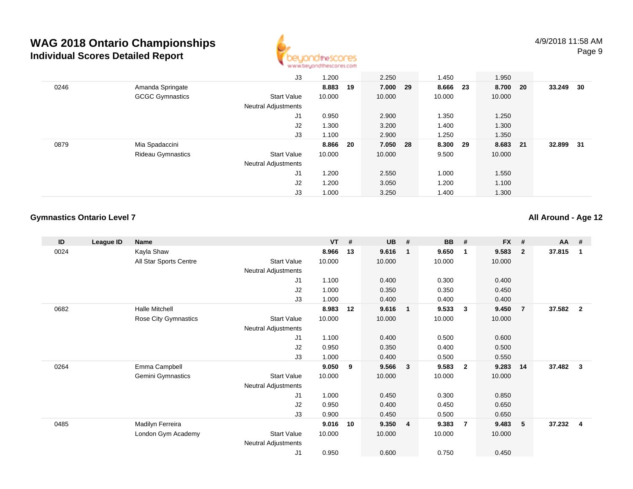

|      |                          | J3                         | 1.200    |    | 2.250    | 1.450  |      | 1.950  |      |        |    |
|------|--------------------------|----------------------------|----------|----|----------|--------|------|--------|------|--------|----|
| 0246 | Amanda Springate         |                            | 8.883    | 19 | 7.000 29 | 8.666  | - 23 | 8.700  | - 20 | 33.249 | 30 |
|      | <b>GCGC Gymnastics</b>   | <b>Start Value</b>         | 10.000   |    | 10.000   | 10.000 |      | 10.000 |      |        |    |
|      |                          | <b>Neutral Adjustments</b> |          |    |          |        |      |        |      |        |    |
|      |                          | J <sub>1</sub>             | 0.950    |    | 2.900    | 1.350  |      | 1.250  |      |        |    |
|      |                          | J2                         | 1.300    |    | 3.200    | 1.400  |      | 1.300  |      |        |    |
|      |                          | J3                         | 1.100    |    | 2.900    | 1.250  |      | 1.350  |      |        |    |
| 0879 | Mia Spadaccini           |                            | 8.866 20 |    | 7.050 28 | 8.300  | - 29 | 8.683  | - 21 | 32.899 | 31 |
|      | <b>Rideau Gymnastics</b> | <b>Start Value</b>         | 10.000   |    | 10.000   | 9.500  |      | 10.000 |      |        |    |
|      |                          | <b>Neutral Adjustments</b> |          |    |          |        |      |        |      |        |    |
|      |                          | J <sub>1</sub>             | 1.200    |    | 2.550    | 1.000  |      | 1.550  |      |        |    |
|      |                          | J2                         | 1.200    |    | 3.050    | 1.200  |      | 1.100  |      |        |    |
|      |                          | J3                         | 1.000    |    | 3.250    | 1.400  |      | 1.300  |      |        |    |

### **Gymnastics Ontario Level 7**

**All Around - Age 12**

| ID   | League ID | <b>Name</b>            |                     | $VT$ # |    | <b>UB</b> | #                       | <b>BB</b> | #                       | <b>FX</b> | #              | <b>AA</b> | #              |
|------|-----------|------------------------|---------------------|--------|----|-----------|-------------------------|-----------|-------------------------|-----------|----------------|-----------|----------------|
| 0024 |           | Kayla Shaw             |                     | 8.966  | 13 | 9.616     | $\mathbf{1}$            | 9.650     | $\overline{\mathbf{1}}$ | 9.583     | $\overline{2}$ | 37.815    |                |
|      |           | All Star Sports Centre | <b>Start Value</b>  | 10.000 |    | 10.000    |                         | 10.000    |                         | 10.000    |                |           |                |
|      |           |                        | Neutral Adjustments |        |    |           |                         |           |                         |           |                |           |                |
|      |           |                        | J1                  | 1.100  |    | 0.400     |                         | 0.300     |                         | 0.400     |                |           |                |
|      |           |                        | J <sub>2</sub>      | 1.000  |    | 0.350     |                         | 0.350     |                         | 0.450     |                |           |                |
|      |           |                        | J3                  | 1.000  |    | 0.400     |                         | 0.400     |                         | 0.400     |                |           |                |
| 0682 |           | <b>Halle Mitchell</b>  |                     | 8.983  | 12 | 9.616     | $\overline{1}$          | 9.533     | $\mathbf{3}$            | 9.450     | $\overline{7}$ | 37.582    | $\overline{2}$ |
|      |           | Rose City Gymnastics   | Start Value         | 10.000 |    | 10.000    |                         | 10.000    |                         | 10.000    |                |           |                |
|      |           |                        | Neutral Adjustments |        |    |           |                         |           |                         |           |                |           |                |
|      |           |                        | J1                  | 1.100  |    | 0.400     |                         | 0.500     |                         | 0.600     |                |           |                |
|      |           |                        | J <sub>2</sub>      | 0.950  |    | 0.350     |                         | 0.400     |                         | 0.500     |                |           |                |
|      |           |                        | J3                  | 1.000  |    | 0.400     |                         | 0.500     |                         | 0.550     |                |           |                |
| 0264 |           | Emma Campbell          |                     | 9.050  | 9  | 9.566     | 3 <sup>o</sup>          | 9.583     | $\overline{\mathbf{2}}$ | 9.283     | 14             | 37.482    | 3              |
|      |           | Gemini Gymnastics      | <b>Start Value</b>  | 10.000 |    | 10.000    |                         | 10.000    |                         | 10.000    |                |           |                |
|      |           |                        | Neutral Adjustments |        |    |           |                         |           |                         |           |                |           |                |
|      |           |                        | J1                  | 1.000  |    | 0.450     |                         | 0.300     |                         | 0.850     |                |           |                |
|      |           |                        | J2                  | 0.950  |    | 0.400     |                         | 0.450     |                         | 0.650     |                |           |                |
|      |           |                        | J3                  | 0.900  |    | 0.450     |                         | 0.500     |                         | 0.650     |                |           |                |
| 0485 |           | Madilyn Ferreira       |                     | 9.016  | 10 | 9.350     | $\overline{\mathbf{4}}$ | 9.383     | $\overline{7}$          | 9.483     | 5              | 37.232    | 4              |
|      |           | London Gym Academy     | Start Value         | 10.000 |    | 10.000    |                         | 10.000    |                         | 10.000    |                |           |                |
|      |           |                        | Neutral Adjustments |        |    |           |                         |           |                         |           |                |           |                |
|      |           |                        | J <sub>1</sub>      | 0.950  |    | 0.600     |                         | 0.750     |                         | 0.450     |                |           |                |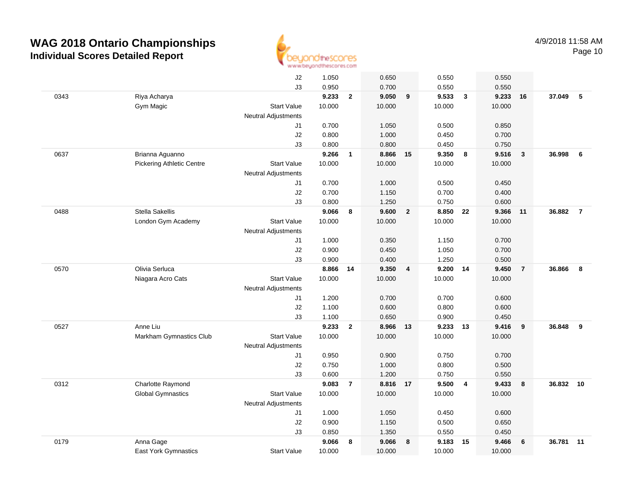

|      |                                  | J2                               | 1.050  |                | 0.650    |                         | 0.550          |                         | 0.550          |                         |           |                |
|------|----------------------------------|----------------------------------|--------|----------------|----------|-------------------------|----------------|-------------------------|----------------|-------------------------|-----------|----------------|
|      |                                  | J3                               | 0.950  |                | 0.700    |                         | 0.550          |                         | 0.550          |                         |           |                |
| 0343 | Riya Acharya                     |                                  | 9.233  | $\overline{2}$ | 9.050    | 9                       | 9.533          | $\overline{\mathbf{3}}$ | 9.233          | 16                      | 37.049    | - 5            |
|      | Gym Magic                        | <b>Start Value</b>               | 10.000 |                | 10.000   |                         | 10.000         |                         | 10.000         |                         |           |                |
|      |                                  | <b>Neutral Adjustments</b>       |        |                |          |                         |                |                         |                |                         |           |                |
|      |                                  | J1                               | 0.700  |                | 1.050    |                         | 0.500          |                         | 0.850          |                         |           |                |
|      |                                  | J2                               | 0.800  |                | 1.000    |                         | 0.450          |                         | 0.700          |                         |           |                |
|      |                                  | J3                               | 0.800  |                | 0.800    |                         | 0.450          |                         | 0.750          |                         |           |                |
| 0637 | Brianna Aguanno                  |                                  | 9.266  | 1              | 8.866    | 15                      | 9.350          | 8                       | 9.516          | $\overline{\mathbf{3}}$ | 36.998    | - 6            |
|      | <b>Pickering Athletic Centre</b> | <b>Start Value</b>               | 10.000 |                | 10.000   |                         | 10.000         |                         | 10.000         |                         |           |                |
|      |                                  | <b>Neutral Adjustments</b>       |        |                |          |                         |                |                         |                |                         |           |                |
|      |                                  | J1                               | 0.700  |                | 1.000    |                         | 0.500          |                         | 0.450          |                         |           |                |
|      |                                  | J2                               | 0.700  |                | 1.150    |                         | 0.700          |                         | 0.400          |                         |           |                |
|      |                                  | J3                               | 0.800  |                | 1.250    |                         | 0.750          |                         | 0.600          |                         |           |                |
| 0488 | Stella Sakellis                  |                                  | 9.066  | 8              | 9.600    | $\overline{2}$          | 8.850          | 22                      | 9.366          | 11                      | 36.882    | $\overline{7}$ |
|      | London Gym Academy               | <b>Start Value</b>               | 10.000 |                | 10.000   |                         | 10.000         |                         | 10.000         |                         |           |                |
|      |                                  | <b>Neutral Adjustments</b>       |        |                |          |                         |                |                         |                |                         |           |                |
|      |                                  | J1                               | 1.000  |                | 0.350    |                         | 1.150          |                         | 0.700          |                         |           |                |
|      |                                  | J2                               | 0.900  |                | 0.450    |                         | 1.050          |                         | 0.700          |                         |           |                |
|      |                                  | J3                               | 0.900  |                | 0.400    |                         | 1.250          |                         | 0.500          |                         |           |                |
| 0570 | Olivia Serluca                   |                                  | 8.866  | 14             | 9.350    | $\overline{\mathbf{4}}$ | 9.200          | 14                      | 9.450          | $\overline{7}$          | 36.866    | 8              |
|      | Niagara Acro Cats                | <b>Start Value</b>               | 10.000 |                | 10.000   |                         | 10.000         |                         | 10.000         |                         |           |                |
|      |                                  | <b>Neutral Adjustments</b>       |        |                |          |                         |                |                         |                |                         |           |                |
|      |                                  | J1                               | 1.200  |                | 0.700    |                         | 0.700          |                         | 0.600          |                         |           |                |
|      |                                  | J2                               | 1.100  |                | 0.600    |                         | 0.800          |                         | 0.600          |                         |           |                |
|      |                                  | J3                               | 1.100  |                | 0.650    |                         | 0.900          |                         | 0.450          |                         |           |                |
| 0527 | Anne Liu                         |                                  | 9.233  | $\mathbf{2}$   | 8.966    | 13                      | 9.233          | 13                      | 9.416          | 9                       | 36.848    | -9             |
|      | Markham Gymnastics Club          | <b>Start Value</b>               | 10.000 |                | 10.000   |                         | 10.000         |                         | 10.000         |                         |           |                |
|      |                                  | <b>Neutral Adjustments</b><br>J1 | 0.950  |                | 0.900    |                         |                |                         | 0.700          |                         |           |                |
|      |                                  |                                  | 0.750  |                | 1.000    |                         | 0.750<br>0.800 |                         |                |                         |           |                |
|      |                                  | J2<br>J3                         | 0.600  |                | 1.200    |                         | 0.750          |                         | 0.500<br>0.550 |                         |           |                |
| 0312 | Charlotte Raymond                |                                  | 9.083  | $\overline{7}$ | 8.816 17 |                         | 9.500          | $\overline{4}$          | 9.433          | 8                       | 36.832 10 |                |
|      | <b>Global Gymnastics</b>         | <b>Start Value</b>               | 10.000 |                | 10.000   |                         | 10.000         |                         | 10.000         |                         |           |                |
|      |                                  | <b>Neutral Adjustments</b>       |        |                |          |                         |                |                         |                |                         |           |                |
|      |                                  | J1                               | 1.000  |                | 1.050    |                         | 0.450          |                         | 0.600          |                         |           |                |
|      |                                  | J2                               | 0.900  |                | 1.150    |                         | 0.500          |                         | 0.650          |                         |           |                |
|      |                                  | J3                               | 0.850  |                | 1.350    |                         | 0.550          |                         | 0.450          |                         |           |                |
| 0179 | Anna Gage                        |                                  | 9.066  | 8              | 9.066    | 8                       | 9.183          | 15                      | 9.466          | 6                       | 36.781    | 11             |
|      | <b>East York Gymnastics</b>      | <b>Start Value</b>               | 10.000 |                | 10.000   |                         | 10.000         |                         | 10.000         |                         |           |                |
|      |                                  |                                  |        |                |          |                         |                |                         |                |                         |           |                |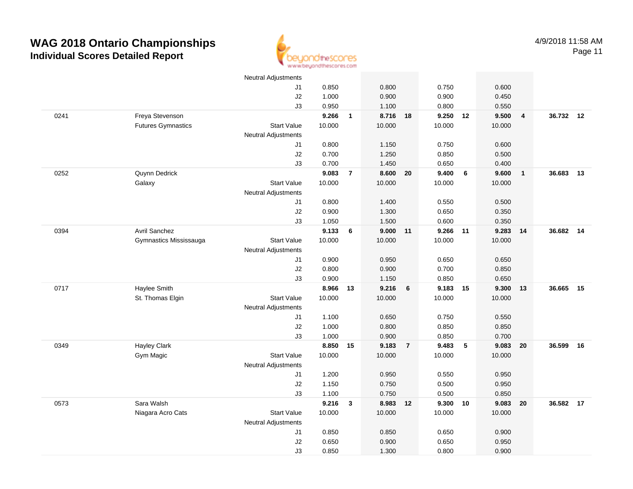

Page 11

|      |                           | <b>Neutral Adjustments</b> |        |                |          |                |          |                 |        |                         |           |    |
|------|---------------------------|----------------------------|--------|----------------|----------|----------------|----------|-----------------|--------|-------------------------|-----------|----|
|      |                           | J1                         | 0.850  |                | 0.800    |                | 0.750    |                 | 0.600  |                         |           |    |
|      |                           | J2                         | 1.000  |                | 0.900    |                | 0.900    |                 | 0.450  |                         |           |    |
|      |                           | J3                         | 0.950  |                | 1.100    |                | 0.800    |                 | 0.550  |                         |           |    |
| 0241 | Freya Stevenson           |                            | 9.266  | $\mathbf{1}$   | 8.716 18 |                | 9.250 12 |                 | 9.500  | $\overline{4}$          | 36.732 12 |    |
|      | <b>Futures Gymnastics</b> | <b>Start Value</b>         | 10.000 |                | 10.000   |                | 10.000   |                 | 10.000 |                         |           |    |
|      |                           | Neutral Adjustments        |        |                |          |                |          |                 |        |                         |           |    |
|      |                           | J1                         | 0.800  |                | 1.150    |                | 0.750    |                 | 0.600  |                         |           |    |
|      |                           | J2                         | 0.700  |                | 1.250    |                | 0.850    |                 | 0.500  |                         |           |    |
|      |                           | J3                         | 0.700  |                | 1.450    |                | 0.650    |                 | 0.400  |                         |           |    |
| 0252 | Quynn Dedrick             |                            | 9.083  | $\overline{7}$ | 8.600    | 20             | 9.400    | $6\phantom{a}$  | 9.600  | $\overline{\mathbf{1}}$ | 36.683    | 13 |
|      | Galaxy                    | <b>Start Value</b>         | 10.000 |                | 10.000   |                | 10.000   |                 | 10.000 |                         |           |    |
|      |                           | <b>Neutral Adjustments</b> |        |                |          |                |          |                 |        |                         |           |    |
|      |                           | J1                         | 0.800  |                | 1.400    |                | 0.550    |                 | 0.500  |                         |           |    |
|      |                           | J2                         | 0.900  |                | 1.300    |                | 0.650    |                 | 0.350  |                         |           |    |
|      |                           | J3                         | 1.050  |                | 1.500    |                | 0.600    |                 | 0.350  |                         |           |    |
| 0394 | <b>Avril Sanchez</b>      |                            | 9.133  | 6              | 9.000 11 |                | 9.266    | 11              | 9.283  | 14                      | 36.682 14 |    |
|      | Gymnastics Mississauga    | <b>Start Value</b>         | 10.000 |                | 10.000   |                | 10.000   |                 | 10.000 |                         |           |    |
|      |                           | <b>Neutral Adjustments</b> |        |                |          |                |          |                 |        |                         |           |    |
|      |                           | J1                         | 0.900  |                | 0.950    |                | 0.650    |                 | 0.650  |                         |           |    |
|      |                           | J2                         | 0.800  |                | 0.900    |                | 0.700    |                 | 0.850  |                         |           |    |
|      |                           | J3                         | 0.900  |                | 1.150    |                | 0.850    |                 | 0.650  |                         |           |    |
| 0717 | Haylee Smith              |                            | 8.966  | 13             | 9.216    | 6              | 9.183 15 |                 | 9.300  | 13                      | 36.665    | 15 |
|      | St. Thomas Elgin          | <b>Start Value</b>         | 10.000 |                | 10.000   |                | 10.000   |                 | 10.000 |                         |           |    |
|      |                           | Neutral Adjustments        |        |                |          |                |          |                 |        |                         |           |    |
|      |                           | J1                         | 1.100  |                | 0.650    |                | 0.750    |                 | 0.550  |                         |           |    |
|      |                           | J2                         | 1.000  |                | 0.800    |                | 0.850    |                 | 0.850  |                         |           |    |
|      |                           | J3                         | 1.000  |                | 0.900    |                | 0.850    |                 | 0.700  |                         |           |    |
| 0349 | <b>Hayley Clark</b>       |                            | 8.850  | 15             | 9.183    | $\overline{7}$ | 9.483    | $5\phantom{.0}$ | 9.083  | 20                      | 36.599    | 16 |
|      | Gym Magic                 | <b>Start Value</b>         | 10.000 |                | 10.000   |                | 10.000   |                 | 10.000 |                         |           |    |
|      |                           | Neutral Adjustments        |        |                |          |                |          |                 |        |                         |           |    |
|      |                           | J1                         | 1.200  |                | 0.950    |                | 0.550    |                 | 0.950  |                         |           |    |
|      |                           | J2                         | 1.150  |                | 0.750    |                | 0.500    |                 | 0.950  |                         |           |    |
|      |                           | J3                         | 1.100  |                | 0.750    |                | 0.500    |                 | 0.850  |                         |           |    |
| 0573 | Sara Walsh                |                            | 9.216  | $\mathbf{3}$   | 8.983 12 |                | 9.300 10 |                 | 9.083  | 20                      | 36.582 17 |    |
|      | Niagara Acro Cats         | <b>Start Value</b>         | 10.000 |                | 10.000   |                | 10.000   |                 | 10.000 |                         |           |    |
|      |                           | <b>Neutral Adjustments</b> |        |                |          |                |          |                 |        |                         |           |    |
|      |                           | J1                         | 0.850  |                | 0.850    |                | 0.650    |                 | 0.900  |                         |           |    |
|      |                           | J2                         | 0.650  |                | 0.900    |                | 0.650    |                 | 0.950  |                         |           |    |
|      |                           | J3                         | 0.850  |                | 1.300    |                | 0.800    |                 | 0.900  |                         |           |    |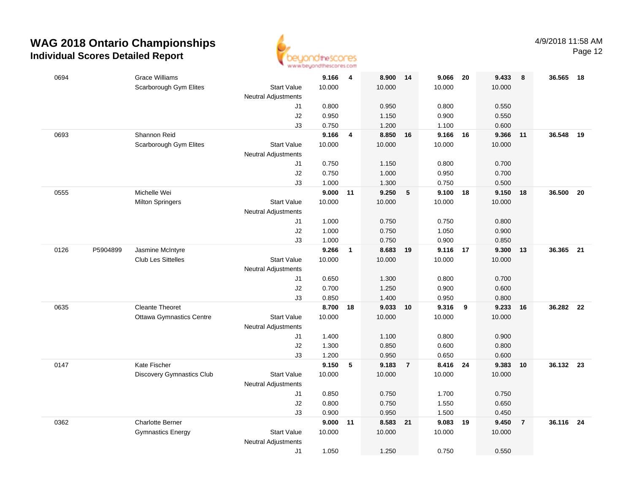

Page 12

| 0694 |          | <b>Grace Williams</b>           |                            | 9.166          | $\overline{4}$ | 8.900             | 14             | 9.066             | -20 | 9.433          | 8              | 36.565 18 |      |
|------|----------|---------------------------------|----------------------------|----------------|----------------|-------------------|----------------|-------------------|-----|----------------|----------------|-----------|------|
|      |          | Scarborough Gym Elites          | <b>Start Value</b>         | 10.000         |                | 10.000            |                | 10.000            |     | 10.000         |                |           |      |
|      |          |                                 | <b>Neutral Adjustments</b> |                |                |                   |                |                   |     |                |                |           |      |
|      |          |                                 | J1                         | 0.800          |                | 0.950             |                | 0.800             |     | 0.550          |                |           |      |
|      |          |                                 | J2                         | 0.950          |                | 1.150             |                | 0.900             |     | 0.550          |                |           |      |
|      |          |                                 | J3                         | 0.750          |                | 1.200             |                | 1.100             |     | 0.600          |                |           |      |
| 0693 |          | Shannon Reid                    |                            | 9.166          | 4              | 8.850             | 16             | 9.166             | 16  | 9.366          | 11             | 36.548    | 19   |
|      |          | Scarborough Gym Elites          | <b>Start Value</b>         | 10.000         |                | 10.000            |                | 10.000            |     | 10.000         |                |           |      |
|      |          |                                 | <b>Neutral Adjustments</b> |                |                |                   |                |                   |     |                |                |           |      |
|      |          |                                 | J1                         | 0.750          |                | 1.150             |                | 0.800             |     | 0.700          |                |           |      |
|      |          |                                 | J2                         | 0.750          |                | 1.000             |                | 0.950             |     | 0.700          |                |           |      |
|      |          |                                 | J3                         | 1.000          |                | 1.300             |                | 0.750             |     | 0.500          |                |           |      |
| 0555 |          | Michelle Wei                    |                            | 9.000          | 11             | 9.250             | 5              | 9.100 18          |     | 9.150          | 18             | 36.500    | 20   |
|      |          | <b>Milton Springers</b>         | <b>Start Value</b>         | 10.000         |                | 10.000            |                | 10.000            |     | 10.000         |                |           |      |
|      |          |                                 | <b>Neutral Adjustments</b> |                |                |                   |                |                   |     |                |                |           |      |
|      |          |                                 | J1                         | 1.000          |                | 0.750             |                | 0.750             |     | 0.800          |                |           |      |
|      |          |                                 | J2                         | 1.000<br>1.000 |                | 0.750             |                | 1.050             |     | 0.900          |                |           |      |
| 0126 | P5904899 | Jasmine McIntyre                | J3                         | 9.266          | $\mathbf{1}$   | 0.750<br>8.683 19 |                | 0.900<br>9.116 17 |     | 0.850<br>9.300 | 13             | 36.365 21 |      |
|      |          | <b>Club Les Sittelles</b>       | <b>Start Value</b>         | 10.000         |                | 10.000            |                | 10.000            |     | 10.000         |                |           |      |
|      |          |                                 | <b>Neutral Adjustments</b> |                |                |                   |                |                   |     |                |                |           |      |
|      |          |                                 | J1                         | 0.650          |                | 1.300             |                | 0.800             |     | 0.700          |                |           |      |
|      |          |                                 | J2                         | 0.700          |                | 1.250             |                | 0.900             |     | 0.600          |                |           |      |
|      |          |                                 | J3                         | 0.850          |                | 1.400             |                | 0.950             |     | 0.800          |                |           |      |
| 0635 |          | <b>Cleante Theoret</b>          |                            | 8.700          | 18             | 9.033             | 10             | 9.316             | 9   | 9.233          | 16             | 36.282    | - 22 |
|      |          | <b>Ottawa Gymnastics Centre</b> | <b>Start Value</b>         | 10.000         |                | 10.000            |                | 10.000            |     | 10.000         |                |           |      |
|      |          |                                 | <b>Neutral Adjustments</b> |                |                |                   |                |                   |     |                |                |           |      |
|      |          |                                 | J1                         | 1.400          |                | 1.100             |                | 0.800             |     | 0.900          |                |           |      |
|      |          |                                 | J2                         | 1.300          |                | 0.850             |                | 0.600             |     | 0.800          |                |           |      |
|      |          |                                 | J3                         | 1.200          |                | 0.950             |                | 0.650             |     | 0.600          |                |           |      |
| 0147 |          | Kate Fischer                    |                            | 9.150          | 5              | 9.183             | $\overline{7}$ | 8.416 24          |     | 9.383          | 10             | 36.132 23 |      |
|      |          | Discovery Gymnastics Club       | <b>Start Value</b>         | 10.000         |                | 10.000            |                | 10.000            |     | 10.000         |                |           |      |
|      |          |                                 | <b>Neutral Adjustments</b> |                |                |                   |                |                   |     |                |                |           |      |
|      |          |                                 | J1                         | 0.850          |                | 0.750             |                | 1.700             |     | 0.750          |                |           |      |
|      |          |                                 | J2                         | 0.800          |                | 0.750             |                | 1.550             |     | 0.650          |                |           |      |
|      |          |                                 | J3                         | 0.900          |                | 0.950             |                | 1.500             |     | 0.450          |                |           |      |
| 0362 |          | <b>Charlotte Berner</b>         |                            | 9.000          | 11             | 8.583             | 21             | 9.083             | 19  | 9.450          | $\overline{7}$ | 36.116    | - 24 |
|      |          | <b>Gymnastics Energy</b>        | <b>Start Value</b>         | 10.000         |                | 10.000            |                | 10.000            |     | 10.000         |                |           |      |
|      |          |                                 | <b>Neutral Adjustments</b> |                |                |                   |                |                   |     |                |                |           |      |
|      |          |                                 | J1                         | 1.050          |                | 1.250             |                | 0.750             |     | 0.550          |                |           |      |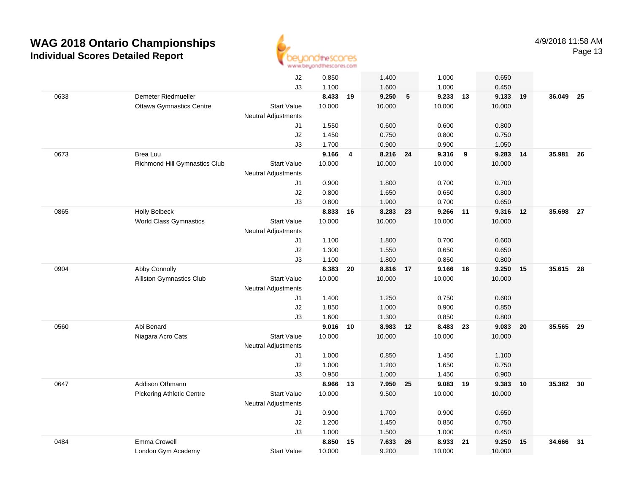

|      |                                  | J2                         | 0.850          |    | 1.400          |    | 1.000          |    | 0.650          |    |           |      |
|------|----------------------------------|----------------------------|----------------|----|----------------|----|----------------|----|----------------|----|-----------|------|
|      |                                  | J3                         | 1.100          |    | 1.600          |    | 1.000          |    | 0.450          |    |           |      |
| 0633 | Demeter Riedmueller              |                            | 8.433 19       |    | 9.250          | 5  | 9.233          | 13 | 9.133          | 19 | 36.049 25 |      |
|      | <b>Ottawa Gymnastics Centre</b>  | <b>Start Value</b>         | 10.000         |    | 10.000         |    | 10.000         |    | 10.000         |    |           |      |
|      |                                  | <b>Neutral Adjustments</b> |                |    |                |    |                |    |                |    |           |      |
|      |                                  | J1                         | 1.550          |    | 0.600          |    | 0.600          |    | 0.800          |    |           |      |
|      |                                  | J2                         | 1.450          |    | 0.750          |    | 0.800          |    | 0.750          |    |           |      |
|      |                                  | J3                         | 1.700          |    | 0.900          |    | 0.900          |    | 1.050          |    |           |      |
| 0673 | Brea Luu                         |                            | 9.166          | 4  | 8.216 24       |    | 9.316          | 9  | 9.283          | 14 | 35.981    | - 26 |
|      | Richmond Hill Gymnastics Club    | <b>Start Value</b>         | 10.000         |    | 10.000         |    | 10.000         |    | 10.000         |    |           |      |
|      |                                  | <b>Neutral Adjustments</b> |                |    |                |    |                |    |                |    |           |      |
|      |                                  | J1                         | 0.900          |    | 1.800          |    | 0.700          |    | 0.700          |    |           |      |
|      |                                  | J2                         | 0.800          |    | 1.650          |    | 0.650          |    | 0.800          |    |           |      |
|      |                                  | J3                         | 0.800          |    | 1.900          |    | 0.700          |    | 0.650          |    |           |      |
| 0865 | <b>Holly Belbeck</b>             |                            | 8.833          | 16 | 8.283          | 23 | 9.266 11       |    | 9.316          | 12 | 35.698 27 |      |
|      | <b>World Class Gymnastics</b>    | <b>Start Value</b>         | 10.000         |    | 10.000         |    | 10.000         |    | 10.000         |    |           |      |
|      |                                  | <b>Neutral Adjustments</b> |                |    |                |    |                |    |                |    |           |      |
|      |                                  | J1                         | 1.100          |    | 1.800          |    | 0.700          |    | 0.600          |    |           |      |
|      |                                  | J2                         | 1.300          |    | 1.550          |    | 0.650          |    | 0.650          |    |           |      |
|      |                                  | J3                         | 1.100          |    | 1.800          |    | 0.850          |    | 0.800          |    |           |      |
| 0904 | Abby Connolly                    |                            | 8.383          | 20 | 8.816          | 17 | 9.166          | 16 | 9.250          | 15 | 35.615 28 |      |
|      | Alliston Gymnastics Club         | <b>Start Value</b>         | 10.000         |    | 10.000         |    | 10.000         |    | 10.000         |    |           |      |
|      |                                  | Neutral Adjustments        |                |    |                |    |                |    |                |    |           |      |
|      |                                  | J1                         | 1.400          |    | 1.250          |    | 0.750          |    | 0.600          |    |           |      |
|      |                                  | J2                         | 1.850          |    | 1.000          |    | 0.900          |    | 0.850          |    |           |      |
| 0560 | Abi Benard                       | J3                         | 1.600<br>9.016 |    | 1.300<br>8.983 |    | 0.850<br>8.483 |    | 0.800<br>9.083 |    | 35.565    | 29   |
|      |                                  | <b>Start Value</b>         | 10.000         | 10 | 10.000         | 12 | 10.000         | 23 | 10.000         | 20 |           |      |
|      | Niagara Acro Cats                | <b>Neutral Adjustments</b> |                |    |                |    |                |    |                |    |           |      |
|      |                                  | J1                         | 1.000          |    | 0.850          |    | 1.450          |    | 1.100          |    |           |      |
|      |                                  | J2                         | 1.000          |    | 1.200          |    | 1.650          |    | 0.750          |    |           |      |
|      |                                  | J3                         | 0.950          |    | 1.000          |    | 1.450          |    | 0.900          |    |           |      |
| 0647 | Addison Othmann                  |                            | 8.966 13       |    | 7.950 25       |    | 9.083 19       |    | 9.383          | 10 | 35.382    | 30   |
|      | <b>Pickering Athletic Centre</b> | <b>Start Value</b>         | 10.000         |    | 9.500          |    | 10.000         |    | 10.000         |    |           |      |
|      |                                  | <b>Neutral Adjustments</b> |                |    |                |    |                |    |                |    |           |      |
|      |                                  | J1                         | 0.900          |    | 1.700          |    | 0.900          |    | 0.650          |    |           |      |
|      |                                  | J2                         | 1.200          |    | 1.450          |    | 0.850          |    | 0.750          |    |           |      |
|      |                                  | J3                         | 1.000          |    | 1.500          |    | 1.000          |    | 0.450          |    |           |      |
| 0484 | Emma Crowell                     |                            | 8.850          | 15 | 7.633          | 26 | 8.933          | 21 | 9.250          | 15 | 34.666    | 31   |
|      | London Gym Academy               | <b>Start Value</b>         | 10.000         |    | 9.200          |    | 10.000         |    | 10.000         |    |           |      |
|      |                                  |                            |                |    |                |    |                |    |                |    |           |      |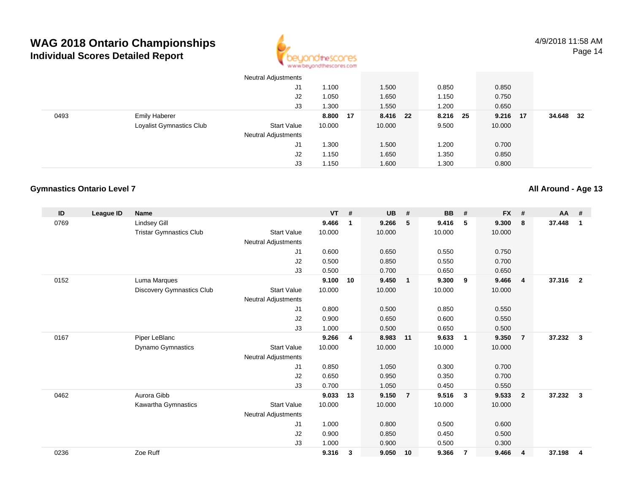

|      |                          | Neutral Adjustments        |          |          |          |          |        |    |
|------|--------------------------|----------------------------|----------|----------|----------|----------|--------|----|
|      |                          | J1                         | 1.100    | 1.500    | 0.850    | 0.850    |        |    |
|      |                          | J2                         | 1.050    | 1.650    | 1.150    | 0.750    |        |    |
|      |                          | J3                         | 1.300    | 1.550    | 1.200    | 0.650    |        |    |
| 0493 | <b>Emily Haberer</b>     |                            | 8.800 17 | 8.416 22 | 8.216 25 | 9.216 17 | 34.648 | 32 |
|      | Loyalist Gymnastics Club | <b>Start Value</b>         | 10.000   | 10.000   | 9.500    | 10.000   |        |    |
|      |                          | <b>Neutral Adjustments</b> |          |          |          |          |        |    |
|      |                          | J1                         | 1.300    | 1.500    | 1.200    | 0.700    |        |    |
|      |                          | J2                         | 1.150    | 1.650    | 1.350    | 0.850    |        |    |
|      |                          | J3                         | 1.150    | 1.600    | 1.300    | 0.800    |        |    |

### **Gymnastics Ontario Level 7**

| ID   | League ID | <b>Name</b>                    |                            | <b>VT</b> | #            | <b>UB</b> | #              | <b>BB</b> | #                       | <b>FX</b> | #              | <b>AA</b> | #              |
|------|-----------|--------------------------------|----------------------------|-----------|--------------|-----------|----------------|-----------|-------------------------|-----------|----------------|-----------|----------------|
| 0769 |           | <b>Lindsey Gill</b>            |                            | 9.466     | $\mathbf 1$  | 9.266     | 5              | 9.416     | 5                       | 9.300     | 8              | 37.448    | $\mathbf{1}$   |
|      |           | <b>Tristar Gymnastics Club</b> | <b>Start Value</b>         | 10.000    |              | 10.000    |                | 10.000    |                         | 10.000    |                |           |                |
|      |           |                                | Neutral Adjustments        |           |              |           |                |           |                         |           |                |           |                |
|      |           |                                | J1                         | 0.600     |              | 0.650     |                | 0.550     |                         | 0.750     |                |           |                |
|      |           |                                | J <sub>2</sub>             | 0.500     |              | 0.850     |                | 0.550     |                         | 0.700     |                |           |                |
|      |           |                                | J3                         | 0.500     |              | 0.700     |                | 0.650     |                         | 0.650     |                |           |                |
| 0152 |           | Luma Marques                   |                            | 9.100     | 10           | 9.450     | $\overline{1}$ | 9.300     | 9                       | 9.466     | $\overline{4}$ | 37.316    | $\overline{2}$ |
|      |           | Discovery Gymnastics Club      | <b>Start Value</b>         | 10.000    |              | 10.000    |                | 10.000    |                         | 10.000    |                |           |                |
|      |           |                                | Neutral Adjustments        |           |              |           |                |           |                         |           |                |           |                |
|      |           |                                | J1                         | 0.800     |              | 0.500     |                | 0.850     |                         | 0.550     |                |           |                |
|      |           |                                | J <sub>2</sub>             | 0.900     |              | 0.650     |                | 0.600     |                         | 0.550     |                |           |                |
|      |           |                                | J3                         | 1.000     |              | 0.500     |                | 0.650     |                         | 0.500     |                |           |                |
| 0167 |           | Piper LeBlanc                  |                            | 9.266     | 4            | 8.983     | 11             | 9.633     | $\overline{1}$          | 9.350     | $\overline{7}$ | 37.232    | 3              |
|      |           | Dynamo Gymnastics              | <b>Start Value</b>         | 10.000    |              | 10.000    |                | 10.000    |                         | 10.000    |                |           |                |
|      |           |                                | <b>Neutral Adjustments</b> |           |              |           |                |           |                         |           |                |           |                |
|      |           |                                | J1                         | 0.850     |              | 1.050     |                | 0.300     |                         | 0.700     |                |           |                |
|      |           |                                | J <sub>2</sub>             | 0.650     |              | 0.950     |                | 0.350     |                         | 0.700     |                |           |                |
|      |           |                                | J3                         | 0.700     |              | 1.050     |                | 0.450     |                         | 0.550     |                |           |                |
| 0462 |           | Aurora Gibb                    |                            | 9.033     | 13           | 9.150     | $\overline{7}$ | 9.516     | $\overline{\mathbf{3}}$ | 9.533     | $\overline{2}$ | 37.232    | 3              |
|      |           | Kawartha Gymnastics            | <b>Start Value</b>         | 10.000    |              | 10.000    |                | 10.000    |                         | 10.000    |                |           |                |
|      |           |                                | <b>Neutral Adjustments</b> |           |              |           |                |           |                         |           |                |           |                |
|      |           |                                | J1                         | 1.000     |              | 0.800     |                | 0.500     |                         | 0.600     |                |           |                |
|      |           |                                | J <sub>2</sub>             | 0.900     |              | 0.850     |                | 0.450     |                         | 0.500     |                |           |                |
|      |           |                                | J3                         | 1.000     |              | 0.900     |                | 0.500     |                         | 0.300     |                |           |                |
| 0236 |           | Zoe Ruff                       |                            | 9.316     | $\mathbf{3}$ | 9.050     | 10             | 9.366     | -7                      | 9.466     | $\overline{4}$ | 37.198    | $\overline{4}$ |

**All Around - Age 13**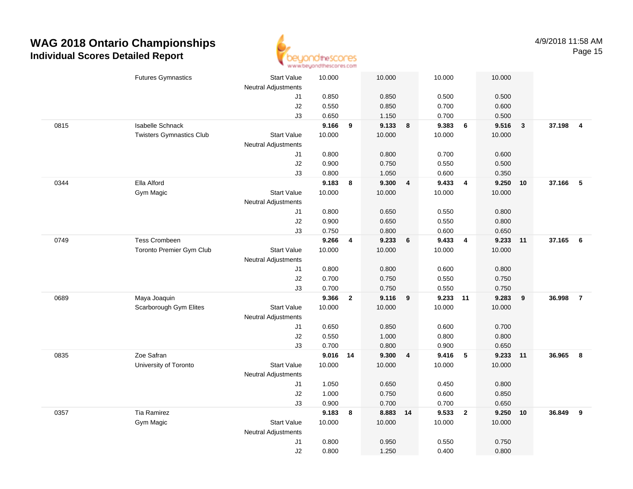

|      | <b>Futures Gymnastics</b>       | <b>Start Value</b>         | 10.000   |              | 10.000   |   | 10.000 |                         | 10.000 |              |          |                |
|------|---------------------------------|----------------------------|----------|--------------|----------|---|--------|-------------------------|--------|--------------|----------|----------------|
|      |                                 | <b>Neutral Adjustments</b> |          |              |          |   |        |                         |        |              |          |                |
|      |                                 | J1                         | 0.850    |              | 0.850    |   | 0.500  |                         | 0.500  |              |          |                |
|      |                                 | J2                         | 0.550    |              | 0.850    |   | 0.700  |                         | 0.600  |              |          |                |
|      |                                 | J3                         | 0.650    |              | 1.150    |   | 0.700  |                         | 0.500  |              |          |                |
| 0815 | <b>Isabelle Schnack</b>         |                            | 9.166    | 9            | 9.133    | 8 | 9.383  | 6                       | 9.516  | $\mathbf{3}$ | 37.198   | $\overline{4}$ |
|      | <b>Twisters Gymnastics Club</b> | <b>Start Value</b>         | 10.000   |              | 10.000   |   | 10.000 |                         | 10.000 |              |          |                |
|      |                                 | <b>Neutral Adjustments</b> |          |              |          |   |        |                         |        |              |          |                |
|      |                                 | J1                         | 0.800    |              | 0.800    |   | 0.700  |                         | 0.600  |              |          |                |
|      |                                 | J2                         | 0.900    |              | 0.750    |   | 0.550  |                         | 0.500  |              |          |                |
|      |                                 | J3                         | 0.800    |              | 1.050    |   | 0.600  |                         | 0.350  |              |          |                |
| 0344 | Ella Alford                     |                            | 9.183    | 8            | 9.300    | 4 | 9.433  | $\overline{\mathbf{4}}$ | 9.250  | 10           | 37.166   | -5             |
|      | Gym Magic                       | <b>Start Value</b>         | 10.000   |              | 10.000   |   | 10.000 |                         | 10.000 |              |          |                |
|      |                                 | <b>Neutral Adjustments</b> |          |              |          |   |        |                         |        |              |          |                |
|      |                                 | J1                         | 0.800    |              | 0.650    |   | 0.550  |                         | 0.800  |              |          |                |
|      |                                 | J2                         | 0.900    |              | 0.650    |   | 0.550  |                         | 0.800  |              |          |                |
|      |                                 | J3                         | 0.750    |              | 0.800    |   | 0.600  |                         | 0.650  |              |          |                |
| 0749 | <b>Tess Crombeen</b>            |                            | 9.266    | 4            | 9.233    | 6 | 9.433  | $\overline{4}$          | 9.233  | $-11$        | 37.165 6 |                |
|      | Toronto Premier Gym Club        | Start Value                | 10.000   |              | 10.000   |   | 10.000 |                         | 10.000 |              |          |                |
|      |                                 | <b>Neutral Adjustments</b> |          |              |          |   |        |                         |        |              |          |                |
|      |                                 | J1                         | 0.800    |              | 0.800    |   | 0.600  |                         | 0.800  |              |          |                |
|      |                                 | J2                         | 0.700    |              | 0.750    |   | 0.550  |                         | 0.750  |              |          |                |
|      |                                 | J3                         | 0.700    |              | 0.750    |   | 0.550  |                         | 0.750  |              |          |                |
| 0689 | Maya Joaquin                    |                            | 9.366    | $\mathbf{2}$ | 9.116    | 9 | 9.233  | 11                      | 9.283  | 9            | 36.998   | $\overline{7}$ |
|      | Scarborough Gym Elites          | <b>Start Value</b>         | 10.000   |              | 10.000   |   | 10.000 |                         | 10.000 |              |          |                |
|      |                                 | <b>Neutral Adjustments</b> |          |              |          |   |        |                         |        |              |          |                |
|      |                                 | J1                         | 0.650    |              | 0.850    |   | 0.600  |                         | 0.700  |              |          |                |
|      |                                 | J2                         | 0.550    |              | 1.000    |   | 0.800  |                         | 0.800  |              |          |                |
|      |                                 | J3                         | 0.700    |              | 0.800    |   | 0.900  |                         | 0.650  |              |          |                |
| 0835 | Zoe Safran                      |                            | 9.016 14 |              | 9.300    | 4 | 9.416  | $-5$                    | 9.233  | 11           | 36.965   | 8              |
|      | University of Toronto           | <b>Start Value</b>         | 10.000   |              | 10.000   |   | 10.000 |                         | 10.000 |              |          |                |
|      |                                 | <b>Neutral Adjustments</b> |          |              |          |   |        |                         |        |              |          |                |
|      |                                 | J1                         | 1.050    |              | 0.650    |   | 0.450  |                         | 0.800  |              |          |                |
|      |                                 | J2                         | 1.000    |              | 0.750    |   | 0.600  |                         | 0.850  |              |          |                |
|      |                                 | J3                         | 0.900    |              | 0.700    |   | 0.700  |                         | 0.650  |              |          |                |
| 0357 | Tia Ramirez                     |                            | 9.183    | 8            | 8.883 14 |   | 9.533  | $\overline{2}$          | 9.250  | 10           | 36.849   | 9              |
|      | Gym Magic                       | <b>Start Value</b>         | 10.000   |              | 10.000   |   | 10.000 |                         | 10.000 |              |          |                |
|      |                                 | <b>Neutral Adjustments</b> |          |              |          |   |        |                         |        |              |          |                |
|      |                                 | J1                         | 0.800    |              | 0.950    |   | 0.550  |                         | 0.750  |              |          |                |
|      |                                 | J2                         | 0.800    |              | 1.250    |   | 0.400  |                         | 0.800  |              |          |                |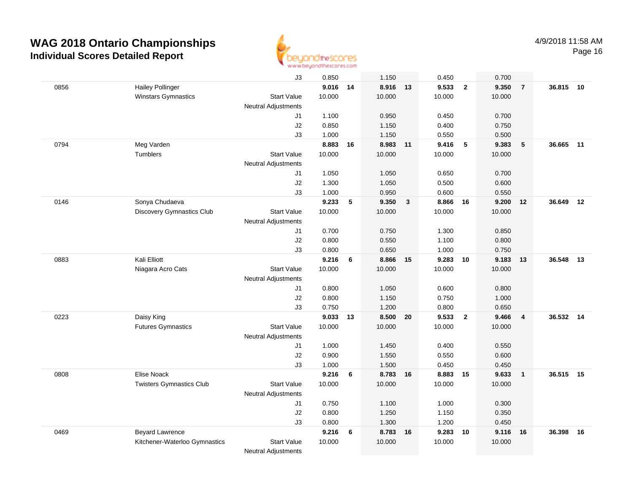

|      |                                 | J3                         | 0.850    |    | 1.150    |              | 0.450  |                         | 0.700  |                         |           |    |
|------|---------------------------------|----------------------------|----------|----|----------|--------------|--------|-------------------------|--------|-------------------------|-----------|----|
| 0856 | <b>Hailey Pollinger</b>         |                            | 9.016 14 |    | 8.916 13 |              | 9.533  | $\overline{\mathbf{2}}$ | 9.350  | $\overline{7}$          | 36.815    | 10 |
|      | Winstars Gymnastics             | <b>Start Value</b>         | 10.000   |    | 10.000   |              | 10.000 |                         | 10.000 |                         |           |    |
|      |                                 | <b>Neutral Adjustments</b> |          |    |          |              |        |                         |        |                         |           |    |
|      |                                 | J1                         | 1.100    |    | 0.950    |              | 0.450  |                         | 0.700  |                         |           |    |
|      |                                 | J2                         | 0.850    |    | 1.150    |              | 0.400  |                         | 0.750  |                         |           |    |
|      |                                 | J3                         | 1.000    |    | 1.150    |              | 0.550  |                         | 0.500  |                         |           |    |
| 0794 | Meg Varden                      |                            | 8.883    | 16 | 8.983    | $-11$        | 9.416  | 5                       | 9.383  | 5                       | 36.665    | 11 |
|      | Tumblers                        | <b>Start Value</b>         | 10.000   |    | 10.000   |              | 10.000 |                         | 10.000 |                         |           |    |
|      |                                 | Neutral Adjustments        |          |    |          |              |        |                         |        |                         |           |    |
|      |                                 | J1                         | 1.050    |    | 1.050    |              | 0.650  |                         | 0.700  |                         |           |    |
|      |                                 | J2                         | 1.300    |    | 1.050    |              | 0.500  |                         | 0.600  |                         |           |    |
|      |                                 | J3                         | 1.000    |    | 0.950    |              | 0.600  |                         | 0.550  |                         |           |    |
| 0146 | Sonya Chudaeva                  |                            | 9.233    | 5  | 9.350    | $\mathbf{3}$ | 8.866  | 16                      | 9.200  | 12                      | 36.649    | 12 |
|      | Discovery Gymnastics Club       | <b>Start Value</b>         | 10.000   |    | 10.000   |              | 10.000 |                         | 10.000 |                         |           |    |
|      |                                 | Neutral Adjustments        |          |    |          |              |        |                         |        |                         |           |    |
|      |                                 | J1                         | 0.700    |    | 0.750    |              | 1.300  |                         | 0.850  |                         |           |    |
|      |                                 | J2                         | 0.800    |    | 0.550    |              | 1.100  |                         | 0.800  |                         |           |    |
|      |                                 | J3                         | 0.800    |    | 0.650    |              | 1.000  |                         | 0.750  |                         |           |    |
| 0883 | Kali Elliott                    |                            | 9.216    | 6  | 8.866    | 15           | 9.283  | 10                      | 9.183  | 13                      | 36.548    | 13 |
|      | Niagara Acro Cats               | <b>Start Value</b>         | 10.000   |    | 10.000   |              | 10.000 |                         | 10.000 |                         |           |    |
|      |                                 | <b>Neutral Adjustments</b> |          |    |          |              |        |                         |        |                         |           |    |
|      |                                 | J1                         | 0.800    |    | 1.050    |              | 0.600  |                         | 0.800  |                         |           |    |
|      |                                 | J2                         | 0.800    |    | 1.150    |              | 0.750  |                         | 1.000  |                         |           |    |
|      |                                 | J3                         | 0.750    |    | 1.200    |              | 0.800  |                         | 0.650  |                         |           |    |
| 0223 | Daisy King                      |                            | 9.033    | 13 | 8.500    | 20           | 9.533  | $\overline{2}$          | 9.466  | $\overline{\mathbf{4}}$ | 36.532    | 14 |
|      | <b>Futures Gymnastics</b>       | <b>Start Value</b>         | 10.000   |    | 10.000   |              | 10.000 |                         | 10.000 |                         |           |    |
|      |                                 | <b>Neutral Adjustments</b> |          |    |          |              |        |                         |        |                         |           |    |
|      |                                 | J1                         | 1.000    |    | 1.450    |              | 0.400  |                         | 0.550  |                         |           |    |
|      |                                 | J2                         | 0.900    |    | 1.550    |              | 0.550  |                         | 0.600  |                         |           |    |
|      |                                 | J3                         | 1.000    |    | 1.500    |              | 0.450  |                         | 0.450  |                         |           |    |
| 0808 | Elise Noack                     |                            | 9.216    | 6  | 8.783 16 |              | 8.883  | 15                      | 9.633  | $\mathbf{1}$            | 36.515 15 |    |
|      | <b>Twisters Gymnastics Club</b> | <b>Start Value</b>         | 10.000   |    | 10.000   |              | 10.000 |                         | 10.000 |                         |           |    |
|      |                                 | <b>Neutral Adjustments</b> |          |    |          |              |        |                         |        |                         |           |    |
|      |                                 | J1                         | 0.750    |    | 1.100    |              | 1.000  |                         | 0.300  |                         |           |    |
|      |                                 | J2                         | 0.800    |    | 1.250    |              | 1.150  |                         | 0.350  |                         |           |    |
|      |                                 | J3                         | 0.800    |    | 1.300    |              | 1.200  |                         | 0.450  |                         |           |    |
| 0469 | <b>Beyard Lawrence</b>          |                            | 9.216    | 6  | 8.783 16 |              | 9.283  | 10                      | 9.116  | 16                      | 36.398    | 16 |
|      | Kitchener-Waterloo Gymnastics   | <b>Start Value</b>         | 10.000   |    | 10.000   |              | 10.000 |                         | 10.000 |                         |           |    |
|      |                                 | <b>Neutral Adjustments</b> |          |    |          |              |        |                         |        |                         |           |    |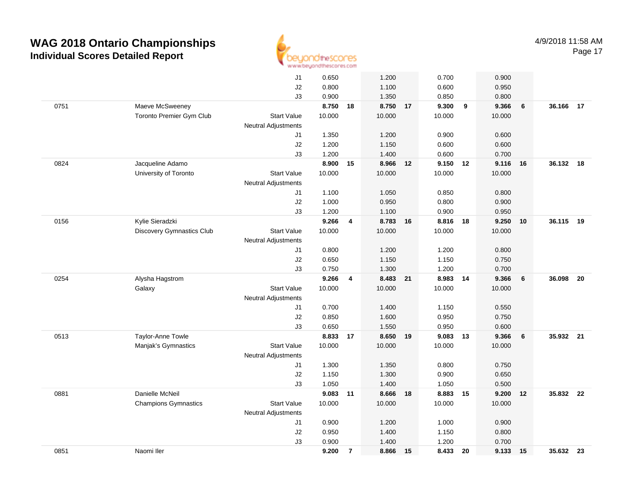

|      |                                  | J1                         | 0.650  |                         | 1.200    |    | 0.700  |    | 0.900  |    |           |    |
|------|----------------------------------|----------------------------|--------|-------------------------|----------|----|--------|----|--------|----|-----------|----|
|      |                                  | J2                         | 0.800  |                         | 1.100    |    | 0.600  |    | 0.950  |    |           |    |
|      |                                  | J3                         | 0.900  |                         | 1.350    |    | 0.850  |    | 0.800  |    |           |    |
| 0751 | Maeve McSweeney                  |                            | 8.750  | 18                      | 8.750 17 |    | 9.300  | 9  | 9.366  | 6  | 36.166 17 |    |
|      | Toronto Premier Gym Club         | <b>Start Value</b>         | 10.000 |                         | 10.000   |    | 10.000 |    | 10.000 |    |           |    |
|      |                                  | <b>Neutral Adjustments</b> |        |                         |          |    |        |    |        |    |           |    |
|      |                                  | J1                         | 1.350  |                         | 1.200    |    | 0.900  |    | 0.600  |    |           |    |
|      |                                  | J2                         | 1.200  |                         | 1.150    |    | 0.600  |    | 0.600  |    |           |    |
|      |                                  | J3                         | 1.200  |                         | 1.400    |    | 0.600  |    | 0.700  |    |           |    |
| 0824 | Jacqueline Adamo                 |                            | 8.900  | 15                      | 8.966    | 12 | 9.150  | 12 | 9.116  | 16 | 36.132 18 |    |
|      | University of Toronto            | <b>Start Value</b>         | 10.000 |                         | 10.000   |    | 10.000 |    | 10.000 |    |           |    |
|      |                                  | <b>Neutral Adjustments</b> |        |                         |          |    |        |    |        |    |           |    |
|      |                                  | J1                         | 1.100  |                         | 1.050    |    | 0.850  |    | 0.800  |    |           |    |
|      |                                  | J2                         | 1.000  |                         | 0.950    |    | 0.800  |    | 0.900  |    |           |    |
|      |                                  | J3                         | 1.200  |                         | 1.100    |    | 0.900  |    | 0.950  |    |           |    |
| 0156 | Kylie Sieradzki                  |                            | 9.266  | $\overline{\mathbf{4}}$ | 8.783 16 |    | 8.816  | 18 | 9.250  | 10 | 36.115    | 19 |
|      | <b>Discovery Gymnastics Club</b> | <b>Start Value</b>         | 10.000 |                         | 10.000   |    | 10.000 |    | 10.000 |    |           |    |
|      |                                  | Neutral Adjustments        |        |                         |          |    |        |    |        |    |           |    |
|      |                                  | J1                         | 0.800  |                         | 1.200    |    | 1.200  |    | 0.800  |    |           |    |
|      |                                  | J2                         | 0.650  |                         | 1.150    |    | 1.150  |    | 0.750  |    |           |    |
|      |                                  | J3                         | 0.750  |                         | 1.300    |    | 1.200  |    | 0.700  |    |           |    |
| 0254 | Alysha Hagstrom                  |                            | 9.266  | 4                       | 8.483 21 |    | 8.983  | 14 | 9.366  | 6  | 36.098    | 20 |
|      | Galaxy                           | <b>Start Value</b>         | 10.000 |                         | 10.000   |    | 10.000 |    | 10.000 |    |           |    |
|      |                                  | Neutral Adjustments        |        |                         |          |    |        |    |        |    |           |    |
|      |                                  | J1                         | 0.700  |                         | 1.400    |    | 1.150  |    | 0.550  |    |           |    |
|      |                                  | J2                         | 0.850  |                         | 1.600    |    | 0.950  |    | 0.750  |    |           |    |
|      |                                  | J3                         | 0.650  |                         | 1.550    |    | 0.950  |    | 0.600  |    |           |    |
| 0513 | Taylor-Anne Towle                |                            | 8.833  | 17                      | 8.650    | 19 | 9.083  | 13 | 9.366  | 6  | 35.932    | 21 |
|      | Manjak's Gymnastics              | <b>Start Value</b>         | 10.000 |                         | 10.000   |    | 10.000 |    | 10.000 |    |           |    |
|      |                                  | <b>Neutral Adjustments</b> |        |                         |          |    |        |    |        |    |           |    |
|      |                                  | J1                         | 1.300  |                         | 1.350    |    | 0.800  |    | 0.750  |    |           |    |
|      |                                  | J2                         | 1.150  |                         | 1.300    |    | 0.900  |    | 0.650  |    |           |    |
|      |                                  | J3                         | 1.050  |                         | 1.400    |    | 1.050  |    | 0.500  |    |           |    |
| 0881 | Danielle McNeil                  |                            | 9.083  | 11                      | 8.666    | 18 | 8.883  | 15 | 9.200  | 12 | 35.832 22 |    |
|      | <b>Champions Gymnastics</b>      | <b>Start Value</b>         | 10.000 |                         | 10.000   |    | 10.000 |    | 10.000 |    |           |    |
|      |                                  | <b>Neutral Adjustments</b> |        |                         |          |    |        |    |        |    |           |    |
|      |                                  | J1                         | 0.900  |                         | 1.200    |    | 1.000  |    | 0.900  |    |           |    |
|      |                                  | J2                         | 0.950  |                         | 1.400    |    | 1.150  |    | 0.800  |    |           |    |
|      |                                  | J3                         | 0.900  |                         | 1.400    |    | 1.200  |    | 0.700  |    |           |    |
| 0851 | Naomi Iler                       |                            | 9.200  | $\overline{7}$          | 8.866    | 15 | 8.433  | 20 | 9.133  | 15 | 35.632 23 |    |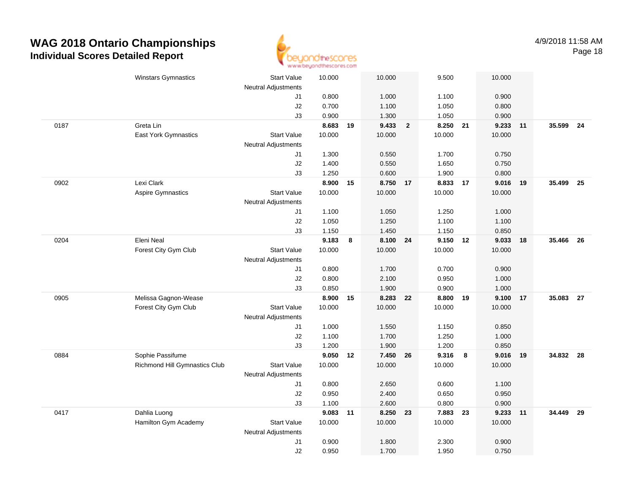

|      | <b>Winstars Gymnastics</b>    | <b>Start Value</b>         | 10.000   |    | 10.000   |                         | 9.500    |                         | 10.000 |      |           |      |
|------|-------------------------------|----------------------------|----------|----|----------|-------------------------|----------|-------------------------|--------|------|-----------|------|
|      |                               | <b>Neutral Adjustments</b> |          |    |          |                         |          |                         |        |      |           |      |
|      |                               | J1                         | 0.800    |    | 1.000    |                         | 1.100    |                         | 0.900  |      |           |      |
|      |                               | J2                         | 0.700    |    | 1.100    |                         | 1.050    |                         | 0.800  |      |           |      |
|      |                               | J3                         | 0.900    |    | 1.300    |                         | 1.050    |                         | 0.900  |      |           |      |
| 0187 | Greta Lin                     |                            | 8.683    | 19 | 9.433    | $\overline{\mathbf{2}}$ | 8.250 21 |                         | 9.233  | 11   | 35.599    | 24   |
|      | East York Gymnastics          | <b>Start Value</b>         | 10.000   |    | 10.000   |                         | 10.000   |                         | 10.000 |      |           |      |
|      |                               | <b>Neutral Adjustments</b> |          |    |          |                         |          |                         |        |      |           |      |
|      |                               | J1                         | 1.300    |    | 0.550    |                         | 1.700    |                         | 0.750  |      |           |      |
|      |                               | J2                         | 1.400    |    | 0.550    |                         | 1.650    |                         | 0.750  |      |           |      |
|      |                               | J3                         | 1.250    |    | 0.600    |                         | 1.900    |                         | 0.800  |      |           |      |
| 0902 | Lexi Clark                    |                            | 8.900    | 15 | 8.750 17 |                         | 8.833    | 17                      | 9.016  | - 19 | 35.499    | - 25 |
|      | <b>Aspire Gymnastics</b>      | <b>Start Value</b>         | 10.000   |    | 10.000   |                         | 10.000   |                         | 10.000 |      |           |      |
|      |                               | Neutral Adjustments        |          |    |          |                         |          |                         |        |      |           |      |
|      |                               | J1                         | 1.100    |    | 1.050    |                         | 1.250    |                         | 1.000  |      |           |      |
|      |                               | J2                         | 1.050    |    | 1.250    |                         | 1.100    |                         | 1.100  |      |           |      |
|      |                               | J3                         | 1.150    |    | 1.450    |                         | 1.150    |                         | 0.850  |      |           |      |
| 0204 | Eleni Neal                    |                            | 9.183    | 8  | 8.100 24 |                         | 9.150 12 |                         | 9.033  | 18   | 35.466 26 |      |
|      | Forest City Gym Club          | <b>Start Value</b>         | 10.000   |    | 10.000   |                         | 10.000   |                         | 10.000 |      |           |      |
|      |                               | <b>Neutral Adjustments</b> |          |    |          |                         |          |                         |        |      |           |      |
|      |                               | J1                         | 0.800    |    | 1.700    |                         | 0.700    |                         | 0.900  |      |           |      |
|      |                               | J2                         | 0.800    |    | 2.100    |                         | 0.950    |                         | 1.000  |      |           |      |
|      |                               | J3                         | 0.850    |    | 1.900    |                         | 0.900    |                         | 1.000  |      |           |      |
| 0905 | Melissa Gagnon-Wease          |                            | 8.900    | 15 | 8.283    | 22                      | 8.800    | 19                      | 9.100  | 17   | 35.083    | 27   |
|      | Forest City Gym Club          | <b>Start Value</b>         | 10.000   |    | 10.000   |                         | 10.000   |                         | 10.000 |      |           |      |
|      |                               | <b>Neutral Adjustments</b> |          |    |          |                         |          |                         |        |      |           |      |
|      |                               | J1                         | 1.000    |    | 1.550    |                         | 1.150    |                         | 0.850  |      |           |      |
|      |                               | J2                         | 1.100    |    | 1.700    |                         | 1.250    |                         | 1.000  |      |           |      |
|      |                               | J3                         | 1.200    |    | 1.900    |                         | 1.200    |                         | 0.850  |      |           |      |
| 0884 | Sophie Passifume              |                            | 9.050    | 12 | 7.450 26 |                         | 9.316    | $\overline{\mathbf{8}}$ | 9.016  | 19   | 34.832 28 |      |
|      | Richmond Hill Gymnastics Club | <b>Start Value</b>         | 10.000   |    | 10.000   |                         | 10.000   |                         | 10.000 |      |           |      |
|      |                               | Neutral Adjustments        |          |    |          |                         |          |                         |        |      |           |      |
|      |                               | J1                         | 0.800    |    | 2.650    |                         | 0.600    |                         | 1.100  |      |           |      |
|      |                               | J2                         | 0.950    |    | 2.400    |                         | 0.650    |                         | 0.950  |      |           |      |
|      |                               | J3                         | 1.100    |    | 2.600    |                         | 0.800    |                         | 0.900  |      |           |      |
| 0417 | Dahlia Luong                  |                            | 9.083 11 |    | 8.250 23 |                         | 7.883    | 23                      | 9.233  | 11   | 34.449    | 29   |
|      | Hamilton Gym Academy          | Start Value                | 10.000   |    | 10.000   |                         | 10.000   |                         | 10.000 |      |           |      |
|      |                               | <b>Neutral Adjustments</b> |          |    |          |                         |          |                         |        |      |           |      |
|      |                               | J1                         | 0.900    |    | 1.800    |                         | 2.300    |                         | 0.900  |      |           |      |
|      |                               | J2                         | 0.950    |    | 1.700    |                         | 1.950    |                         | 0.750  |      |           |      |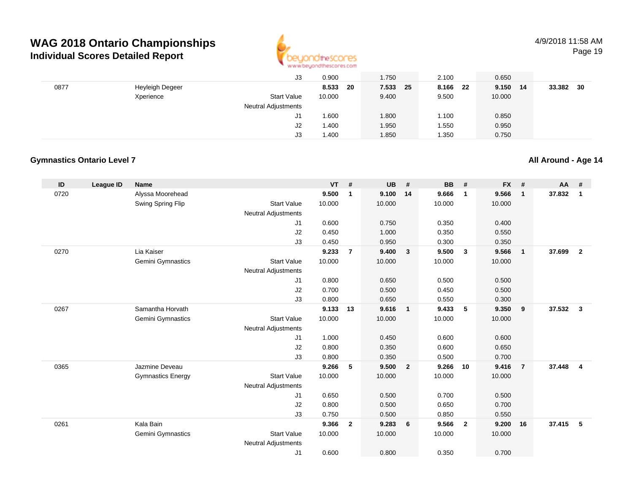

Page 19

|      |                 | J3                         | 0.900       | 1.750    | 2.100    | 0.650       |              |
|------|-----------------|----------------------------|-------------|----------|----------|-------------|--------------|
| 0877 | Heyleigh Degeer |                            | 8.533<br>20 | 7.533 25 | 8.166 22 | 9.150<br>14 | 33.382<br>30 |
|      | Xperience       | <b>Start Value</b>         | 10.000      | 9.400    | 9.500    | 10.000      |              |
|      |                 | <b>Neutral Adjustments</b> |             |          |          |             |              |
|      |                 | J1                         | 1.600       | 1.800    | 1.100    | 0.850       |              |
|      |                 | J2                         | 1.400       | 1.950    | 1.550    | 0.950       |              |
|      |                 | J3                         | 1.400       | 1.850    | 1.350    | 0.750       |              |

#### **Gymnastics Ontario Level 7**

#### **ID League ID Name VT # UB # BB # FX # AA #** 0720 Alyssa Moorehead **9.500 <sup>1</sup> 9.100 <sup>14</sup> 9.666 <sup>1</sup> 9.566 <sup>1</sup> 37.832 <sup>1</sup>** Swing Spring Flip Start Value 10.000 10.000 10.000 10.000 Neutral Adjustments J1 0.600 0.750 0.350 0.400 J2 0.450 1.000 0.350 0.550 J3 0.450 0.950 0.300 0.350 0270 Lia Kaiser **9.233 <sup>7</sup> 9.400 <sup>3</sup> 9.500 <sup>3</sup> 9.566 <sup>1</sup> 37.699 <sup>2</sup>** Gemini Gymnastics Start Valuee 10.000 10.000 10.000 10.000 Neutral Adjustments J1 0.800 0.650 0.500 0.500 J2 0.700 0.500 0.450 0.500 J3 0.800 0.650 0.550 0.300 0267 Samantha Horvath **9.133 <sup>13</sup> 9.616 <sup>1</sup> 9.433 <sup>5</sup> 9.350 <sup>9</sup> 37.532 <sup>3</sup>** Gemini Gymnastics Start Valuee 10.000 10.000 10.000 10.000 Neutral Adjustments J1 1.000 0.450 0.600 0.600 J2 0.800 0.350 0.600 0.650 J3 0.800 0.350 0.500 0.700 0365 Jazmine Deveau **9.266 <sup>5</sup> 9.500 <sup>2</sup> 9.266 <sup>10</sup> 9.416 <sup>7</sup> 37.448 <sup>4</sup>** Gymnastics Energy Start Valuee 10.000 10.000 10.000 10.000 Neutral Adjustments J1 0.650 0.500 0.700 0.500 J2 0.800 0.500 0.650 0.700 J3 0.750 0.500 0.850 0.550 0261 Kala Bain **9.366 <sup>2</sup> 9.283 <sup>6</sup> 9.566 <sup>2</sup> 9.200 <sup>16</sup> 37.415 <sup>5</sup>** Gemini Gymnastics Start Valuee 10.000 10.000 10.000 10.000 Neutral Adjustments J10.600 0.800 0.350 0.700

**All Around - Age 14**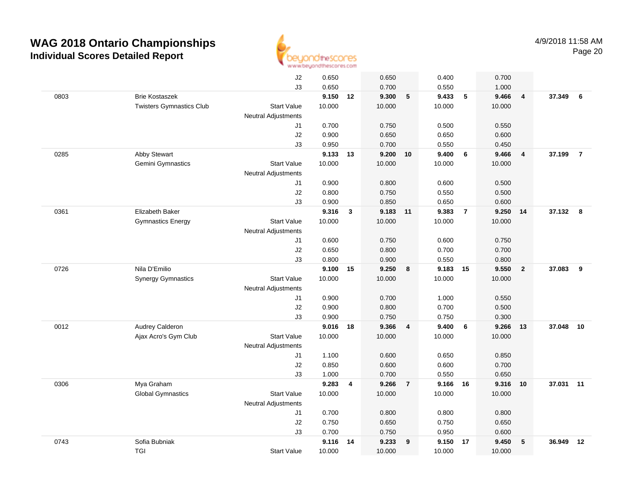

|      |                                 | J2                         | 0.650  |                | 0.650    |                | 0.400    |                | 0.700  |                         |           |                |
|------|---------------------------------|----------------------------|--------|----------------|----------|----------------|----------|----------------|--------|-------------------------|-----------|----------------|
|      |                                 | J3                         | 0.650  |                | 0.700    |                | 0.550    |                | 1.000  |                         |           |                |
| 0803 | <b>Brie Kostaszek</b>           |                            | 9.150  | 12             | 9.300    | 5              | 9.433    | $\sqrt{5}$     | 9.466  | $\overline{\mathbf{4}}$ | 37.349    | 6              |
|      | <b>Twisters Gymnastics Club</b> | <b>Start Value</b>         | 10.000 |                | 10.000   |                | 10.000   |                | 10.000 |                         |           |                |
|      |                                 | <b>Neutral Adjustments</b> |        |                |          |                |          |                |        |                         |           |                |
|      |                                 | J1                         | 0.700  |                | 0.750    |                | 0.500    |                | 0.550  |                         |           |                |
|      |                                 | J2                         | 0.900  |                | 0.650    |                | 0.650    |                | 0.600  |                         |           |                |
|      |                                 | J3                         | 0.950  |                | 0.700    |                | 0.550    |                | 0.450  |                         |           |                |
| 0285 | Abby Stewart                    |                            | 9.133  | 13             | 9.200    | 10             | 9.400    | 6              | 9.466  | $\overline{4}$          | 37.199    | $\overline{7}$ |
|      | Gemini Gymnastics               | <b>Start Value</b>         | 10.000 |                | 10.000   |                | 10.000   |                | 10.000 |                         |           |                |
|      |                                 | Neutral Adjustments        |        |                |          |                |          |                |        |                         |           |                |
|      |                                 | J1                         | 0.900  |                | 0.800    |                | 0.600    |                | 0.500  |                         |           |                |
|      |                                 | J2                         | 0.800  |                | 0.750    |                | 0.550    |                | 0.500  |                         |           |                |
|      |                                 | J3                         | 0.900  |                | 0.850    |                | 0.650    |                | 0.600  |                         |           |                |
| 0361 | Elizabeth Baker                 |                            | 9.316  | 3              | 9.183 11 |                | 9.383    | $\overline{7}$ | 9.250  | 14                      | 37.132 8  |                |
|      | <b>Gymnastics Energy</b>        | <b>Start Value</b>         | 10.000 |                | 10.000   |                | 10.000   |                | 10.000 |                         |           |                |
|      |                                 | <b>Neutral Adjustments</b> |        |                |          |                |          |                |        |                         |           |                |
|      |                                 | J1                         | 0.600  |                | 0.750    |                | 0.600    |                | 0.750  |                         |           |                |
|      |                                 | J2                         | 0.650  |                | 0.800    |                | 0.700    |                | 0.700  |                         |           |                |
|      |                                 | J3                         | 0.800  |                | 0.900    |                | 0.550    |                | 0.800  |                         |           |                |
| 0726 | Nila D'Emilio                   |                            | 9.100  | 15             | 9.250    | 8              | 9.183 15 |                | 9.550  | $\overline{2}$          | 37.083    | 9              |
|      | <b>Synergy Gymnastics</b>       | <b>Start Value</b>         | 10.000 |                | 10.000   |                | 10.000   |                | 10.000 |                         |           |                |
|      |                                 | <b>Neutral Adjustments</b> |        |                |          |                |          |                |        |                         |           |                |
|      |                                 | J1                         | 0.900  |                | 0.700    |                | 1.000    |                | 0.550  |                         |           |                |
|      |                                 | J2                         | 0.900  |                | 0.800    |                | 0.700    |                | 0.500  |                         |           |                |
|      |                                 | J3                         | 0.900  |                | 0.750    |                | 0.750    |                | 0.300  |                         |           |                |
| 0012 | Audrey Calderon                 |                            | 9.016  | 18             | 9.366    | 4              | 9.400    | 6              | 9.266  | 13                      | 37.048    | 10             |
|      | Ajax Acro's Gym Club            | <b>Start Value</b>         | 10.000 |                | 10.000   |                | 10.000   |                | 10.000 |                         |           |                |
|      |                                 | Neutral Adjustments        |        |                |          |                |          |                |        |                         |           |                |
|      |                                 | J1                         | 1.100  |                | 0.600    |                | 0.650    |                | 0.850  |                         |           |                |
|      |                                 | J2                         | 0.850  |                | 0.600    |                | 0.600    |                | 0.700  |                         |           |                |
|      |                                 | J3                         | 1.000  |                | 0.700    |                | 0.550    |                | 0.650  |                         |           |                |
| 0306 | Mya Graham                      |                            | 9.283  | $\overline{4}$ | 9.266    | $\overline{7}$ | 9.166 16 |                | 9.316  | 10                      | 37.031 11 |                |
|      | <b>Global Gymnastics</b>        | <b>Start Value</b>         | 10.000 |                | 10.000   |                | 10.000   |                | 10.000 |                         |           |                |
|      |                                 | <b>Neutral Adjustments</b> |        |                |          |                |          |                |        |                         |           |                |
|      |                                 | J1                         | 0.700  |                | 0.800    |                | 0.800    |                | 0.800  |                         |           |                |
|      |                                 | J2                         | 0.750  |                | 0.650    |                | 0.750    |                | 0.650  |                         |           |                |
|      |                                 | J3                         | 0.700  |                | 0.750    |                | 0.950    |                | 0.600  |                         |           |                |
| 0743 | Sofia Bubniak                   |                            | 9.116  | 14             | 9.233    | 9              | 9.150    | 17             | 9.450  | 5                       | 36.949    | 12             |
|      | <b>TGI</b>                      | <b>Start Value</b>         | 10.000 |                | 10.000   |                | 10.000   |                | 10.000 |                         |           |                |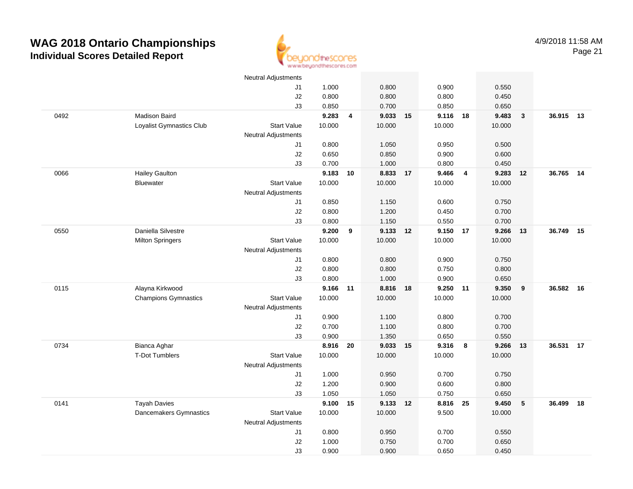

|      |                             | <b>Neutral Adjustments</b> |          |                         |          |    |          |                  |        |              |           |    |
|------|-----------------------------|----------------------------|----------|-------------------------|----------|----|----------|------------------|--------|--------------|-----------|----|
|      |                             | J1                         | 1.000    |                         | 0.800    |    | 0.900    |                  | 0.550  |              |           |    |
|      |                             | J2                         | 0.800    |                         | 0.800    |    | 0.800    |                  | 0.450  |              |           |    |
|      |                             | J3                         | 0.850    |                         | 0.700    |    | 0.850    |                  | 0.650  |              |           |    |
| 0492 | Madison Baird               |                            | 9.283    | $\overline{\mathbf{4}}$ | 9.033 15 |    | 9.116    | 18               | 9.483  | $\mathbf{3}$ | 36.915 13 |    |
|      | Loyalist Gymnastics Club    | <b>Start Value</b>         | 10.000   |                         | 10.000   |    | 10.000   |                  | 10.000 |              |           |    |
|      |                             | <b>Neutral Adjustments</b> |          |                         |          |    |          |                  |        |              |           |    |
|      |                             | J1                         | 0.800    |                         | 1.050    |    | 0.950    |                  | 0.500  |              |           |    |
|      |                             | J2                         | 0.650    |                         | 0.850    |    | 0.900    |                  | 0.600  |              |           |    |
|      |                             | J3                         | 0.700    |                         | 1.000    |    | 0.800    |                  | 0.450  |              |           |    |
| 0066 | <b>Hailey Gaulton</b>       |                            | 9.183    | 10                      | 8.833 17 |    | 9.466    | $\overline{4}$   | 9.283  | 12           | 36.765 14 |    |
|      | <b>Bluewater</b>            | <b>Start Value</b>         | 10.000   |                         | 10.000   |    | 10.000   |                  | 10.000 |              |           |    |
|      |                             | <b>Neutral Adjustments</b> |          |                         |          |    |          |                  |        |              |           |    |
|      |                             | J1                         | 0.850    |                         | 1.150    |    | 0.600    |                  | 0.750  |              |           |    |
|      |                             | J2                         | 0.800    |                         | 1.200    |    | 0.450    |                  | 0.700  |              |           |    |
|      |                             | J3                         | 0.800    |                         | 1.150    |    | 0.550    |                  | 0.700  |              |           |    |
| 0550 | Daniella Silvestre          |                            | 9.200    | $\boldsymbol{9}$        | 9.133 12 |    | 9.150 17 |                  | 9.266  | 13           | 36.749    | 15 |
|      | <b>Milton Springers</b>     | <b>Start Value</b>         | 10.000   |                         | 10.000   |    | 10.000   |                  | 10.000 |              |           |    |
|      |                             | <b>Neutral Adjustments</b> |          |                         |          |    |          |                  |        |              |           |    |
|      |                             | J1                         | 0.800    |                         | 0.800    |    | 0.900    |                  | 0.750  |              |           |    |
|      |                             | $\sf J2$                   | 0.800    |                         | 0.800    |    | 0.750    |                  | 0.800  |              |           |    |
|      |                             | J3                         | 0.800    |                         | 1.000    |    | 0.900    |                  | 0.650  |              |           |    |
| 0115 | Alayna Kirkwood             |                            | 9.166 11 |                         | 8.816    | 18 | 9.250    | 11               | 9.350  | 9            | 36.582 16 |    |
|      | <b>Champions Gymnastics</b> | <b>Start Value</b>         | 10.000   |                         | 10.000   |    | 10.000   |                  | 10.000 |              |           |    |
|      |                             | Neutral Adjustments        |          |                         |          |    |          |                  |        |              |           |    |
|      |                             | J1                         | 0.900    |                         | 1.100    |    | 0.800    |                  | 0.700  |              |           |    |
|      |                             | J2                         | 0.700    |                         | 1.100    |    | 0.800    |                  | 0.700  |              |           |    |
|      |                             | J3                         | 0.900    |                         | 1.350    |    | 0.650    |                  | 0.550  |              |           |    |
| 0734 | Bianca Aghar                |                            | 8.916    | 20                      | 9.033 15 |    | 9.316    | $\boldsymbol{8}$ | 9.266  | 13           | 36.531    | 17 |
|      | <b>T-Dot Tumblers</b>       | <b>Start Value</b>         | 10.000   |                         | 10.000   |    | 10.000   |                  | 10.000 |              |           |    |
|      |                             | <b>Neutral Adjustments</b> |          |                         |          |    |          |                  |        |              |           |    |
|      |                             | J1                         | 1.000    |                         | 0.950    |    | 0.700    |                  | 0.750  |              |           |    |
|      |                             | J2                         | 1.200    |                         | 0.900    |    | 0.600    |                  | 0.800  |              |           |    |
|      |                             | J3                         | 1.050    |                         | 1.050    |    | 0.750    |                  | 0.650  |              |           |    |
| 0141 | <b>Tayah Davies</b>         |                            | 9.100    | 15                      | 9.133 12 |    | 8.816    | - 25             | 9.450  | $\sqrt{5}$   | 36.499    | 18 |
|      | Dancemakers Gymnastics      | <b>Start Value</b>         | 10.000   |                         | 10.000   |    | 9.500    |                  | 10.000 |              |           |    |
|      |                             | <b>Neutral Adjustments</b> |          |                         |          |    |          |                  |        |              |           |    |
|      |                             | J1                         | 0.800    |                         | 0.950    |    | 0.700    |                  | 0.550  |              |           |    |
|      |                             | J2                         | 1.000    |                         | 0.750    |    | 0.700    |                  | 0.650  |              |           |    |
|      |                             | J3                         | 0.900    |                         | 0.900    |    | 0.650    |                  | 0.450  |              |           |    |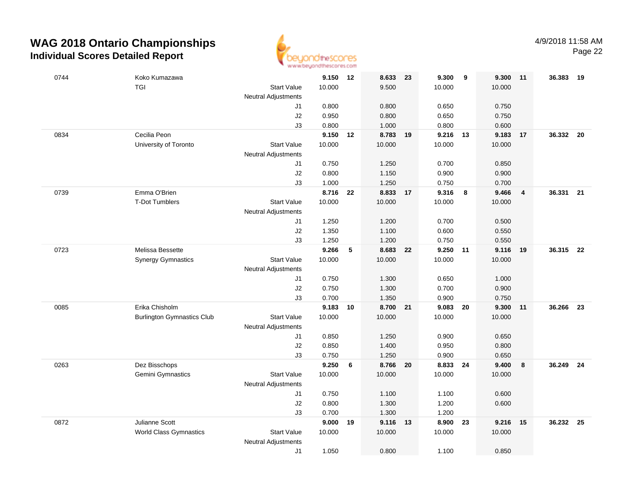

| 0744 | Koko Kumazawa                     |                            | 9.150 12          |    | 8.633 23          |    | 9.300          | 9   | 9.300          | 11                      | 36.383    | - 19 |
|------|-----------------------------------|----------------------------|-------------------|----|-------------------|----|----------------|-----|----------------|-------------------------|-----------|------|
|      | <b>TGI</b>                        | <b>Start Value</b>         | 10.000            |    | 9.500             |    | 10.000         |     | 10.000         |                         |           |      |
|      |                                   | Neutral Adjustments        |                   |    |                   |    |                |     |                |                         |           |      |
|      |                                   | J1                         | 0.800             |    | 0.800             |    | 0.650          |     | 0.750          |                         |           |      |
|      |                                   | $\sf J2$                   | 0.950             |    | 0.800             |    | 0.650          |     | 0.750          |                         |           |      |
| 0834 | Cecilia Peon                      | J3                         | 0.800<br>9.150 12 |    | 1.000<br>8.783 19 |    | 0.800<br>9.216 | 13  | 0.600<br>9.183 | 17                      | 36.332 20 |      |
|      | University of Toronto             | <b>Start Value</b>         | 10.000            |    | 10.000            |    | 10.000         |     | 10.000         |                         |           |      |
|      |                                   | Neutral Adjustments        |                   |    |                   |    |                |     |                |                         |           |      |
|      |                                   | J1                         | 0.750             |    | 1.250             |    | 0.700          |     | 0.850          |                         |           |      |
|      |                                   | J2                         | 0.800             |    | 1.150             |    | 0.900          |     | 0.900          |                         |           |      |
|      |                                   | J3                         | 1.000             |    | 1.250             |    | 0.750          |     | 0.700          |                         |           |      |
| 0739 | Emma O'Brien                      |                            | 8.716             | 22 | 8.833             | 17 | 9.316          | 8   | 9.466          | $\overline{\mathbf{4}}$ | 36.331    | 21   |
|      | <b>T-Dot Tumblers</b>             | <b>Start Value</b>         | 10.000            |    | 10.000            |    | 10.000         |     | 10.000         |                         |           |      |
|      |                                   | <b>Neutral Adjustments</b> |                   |    |                   |    |                |     |                |                         |           |      |
|      |                                   | J1                         | 1.250             |    | 1.200             |    | 0.700          |     | 0.500          |                         |           |      |
|      |                                   | J2                         | 1.350             |    | 1.100             |    | 0.600          |     | 0.550          |                         |           |      |
|      |                                   | J3                         | 1.250             |    | 1.200             |    | 0.750          |     | 0.550          |                         |           |      |
| 0723 | Melissa Bessette                  |                            | 9.266             | 5  | 8.683 22          |    | 9.250          | 11  | 9.116          | 19                      | 36.315 22 |      |
|      | <b>Synergy Gymnastics</b>         | <b>Start Value</b>         | 10.000            |    | 10.000            |    | 10.000         |     | 10.000         |                         |           |      |
|      |                                   | <b>Neutral Adjustments</b> |                   |    |                   |    |                |     |                |                         |           |      |
|      |                                   | J1                         | 0.750             |    | 1.300             |    | 0.650          |     | 1.000          |                         |           |      |
|      |                                   | J2                         | 0.750             |    | 1.300             |    | 0.700          |     | 0.900          |                         |           |      |
| 0085 | Erika Chisholm                    | J3                         | 0.700<br>9.183    | 10 | 1.350<br>8.700 21 |    | 0.900<br>9.083 | 20  | 0.750<br>9.300 | 11                      | 36.266    | 23   |
|      | <b>Burlington Gymnastics Club</b> | <b>Start Value</b>         | 10.000            |    | 10.000            |    | 10.000         |     | 10.000         |                         |           |      |
|      |                                   | Neutral Adjustments        |                   |    |                   |    |                |     |                |                         |           |      |
|      |                                   | J1                         | 0.850             |    | 1.250             |    | 0.900          |     | 0.650          |                         |           |      |
|      |                                   | J2                         | 0.850             |    | 1.400             |    | 0.950          |     | 0.800          |                         |           |      |
|      |                                   | J3                         | 0.750             |    | 1.250             |    | 0.900          |     | 0.650          |                         |           |      |
| 0263 | Dez Bisschops                     |                            | 9.250             | 6  | 8.766 20          |    | 8.833          | -24 | 9.400          | 8                       | 36.249 24 |      |
|      | Gemini Gymnastics                 | <b>Start Value</b>         | 10.000            |    | 10.000            |    | 10.000         |     | 10.000         |                         |           |      |
|      |                                   | Neutral Adjustments        |                   |    |                   |    |                |     |                |                         |           |      |
|      |                                   | J1                         | 0.750             |    | 1.100             |    | 1.100          |     | 0.600          |                         |           |      |
|      |                                   | J2                         | 0.800             |    | 1.300             |    | 1.200          |     | 0.600          |                         |           |      |
|      |                                   | J3                         | 0.700             |    | 1.300             |    | 1.200          |     |                |                         |           |      |
| 0872 | Julianne Scott                    |                            | 9.000             | 19 | 9.116             | 13 | 8.900          | 23  | 9.216          | 15                      | 36.232 25 |      |
|      | <b>World Class Gymnastics</b>     | <b>Start Value</b>         | 10.000            |    | 10.000            |    | 10.000         |     | 10.000         |                         |           |      |
|      |                                   | <b>Neutral Adjustments</b> |                   |    |                   |    |                |     |                |                         |           |      |
|      |                                   | J1                         | 1.050             |    | 0.800             |    | 1.100          |     | 0.850          |                         |           |      |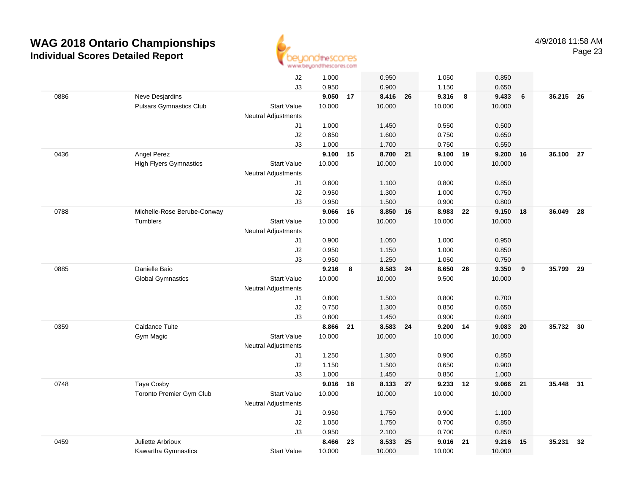

|      |                                | J2                         | 1.000  |    | 0.950    |    | 1.050  |    | 0.850  |    |           |    |
|------|--------------------------------|----------------------------|--------|----|----------|----|--------|----|--------|----|-----------|----|
|      |                                | J3                         | 0.950  |    | 0.900    |    | 1.150  |    | 0.650  |    |           |    |
| 0886 | Neve Desjardins                |                            | 9.050  | 17 | 8.416    | 26 | 9.316  | 8  | 9.433  | 6  | 36.215 26 |    |
|      | <b>Pulsars Gymnastics Club</b> | <b>Start Value</b>         | 10.000 |    | 10.000   |    | 10.000 |    | 10.000 |    |           |    |
|      |                                | <b>Neutral Adjustments</b> |        |    |          |    |        |    |        |    |           |    |
|      |                                | J1                         | 1.000  |    | 1.450    |    | 0.550  |    | 0.500  |    |           |    |
|      |                                | J2                         | 0.850  |    | 1.600    |    | 0.750  |    | 0.650  |    |           |    |
|      |                                | J3                         | 1.000  |    | 1.700    |    | 0.750  |    | 0.550  |    |           |    |
| 0436 | Angel Perez                    |                            | 9.100  | 15 | 8.700    | 21 | 9.100  | 19 | 9.200  | 16 | 36.100 27 |    |
|      | <b>High Flyers Gymnastics</b>  | <b>Start Value</b>         | 10.000 |    | 10.000   |    | 10.000 |    | 10.000 |    |           |    |
|      |                                | <b>Neutral Adjustments</b> |        |    |          |    |        |    |        |    |           |    |
|      |                                | J1                         | 0.800  |    | 1.100    |    | 0.800  |    | 0.850  |    |           |    |
|      |                                | J2                         | 0.950  |    | 1.300    |    | 1.000  |    | 0.750  |    |           |    |
|      |                                | JЗ                         | 0.950  |    | 1.500    |    | 0.900  |    | 0.800  |    |           |    |
| 0788 | Michelle-Rose Berube-Conway    |                            | 9.066  | 16 | 8.850 16 |    | 8.983  | 22 | 9.150  | 18 | 36.049    | 28 |
|      | Tumblers                       | <b>Start Value</b>         | 10.000 |    | 10.000   |    | 10.000 |    | 10.000 |    |           |    |
|      |                                | <b>Neutral Adjustments</b> |        |    |          |    |        |    |        |    |           |    |
|      |                                | J1                         | 0.900  |    | 1.050    |    | 1.000  |    | 0.950  |    |           |    |
|      |                                | J2                         | 0.950  |    | 1.150    |    | 1.000  |    | 0.850  |    |           |    |
|      |                                | J3                         | 0.950  |    | 1.250    |    | 1.050  |    | 0.750  |    |           |    |
| 0885 | Danielle Baio                  |                            | 9.216  | 8  | 8.583    | 24 | 8.650  | 26 | 9.350  | 9  | 35.799    | 29 |
|      | <b>Global Gymnastics</b>       | <b>Start Value</b>         | 10.000 |    | 10.000   |    | 9.500  |    | 10.000 |    |           |    |
|      |                                | <b>Neutral Adjustments</b> |        |    |          |    |        |    |        |    |           |    |
|      |                                | J1                         | 0.800  |    | 1.500    |    | 0.800  |    | 0.700  |    |           |    |
|      |                                | J2                         | 0.750  |    | 1.300    |    | 0.850  |    | 0.650  |    |           |    |
|      |                                | J3                         | 0.800  |    | 1.450    |    | 0.900  |    | 0.600  |    |           |    |
| 0359 | Caidance Tuite                 |                            | 8.866  | 21 | 8.583 24 |    | 9.200  | 14 | 9.083  | 20 | 35.732    | 30 |
|      | Gym Magic                      | <b>Start Value</b>         | 10.000 |    | 10.000   |    | 10.000 |    | 10.000 |    |           |    |
|      |                                | <b>Neutral Adjustments</b> |        |    |          |    |        |    |        |    |           |    |
|      |                                | J1                         | 1.250  |    | 1.300    |    | 0.900  |    | 0.850  |    |           |    |
|      |                                | J2                         | 1.150  |    | 1.500    |    | 0.650  |    | 0.900  |    |           |    |
|      |                                | J3                         | 1.000  |    | 1.450    |    | 0.850  |    | 1.000  |    |           |    |
| 0748 | Taya Cosby                     |                            | 9.016  | 18 | 8.133 27 |    | 9.233  | 12 | 9.066  | 21 | 35.448 31 |    |
|      | Toronto Premier Gym Club       | <b>Start Value</b>         | 10.000 |    | 10.000   |    | 10.000 |    | 10.000 |    |           |    |
|      |                                | <b>Neutral Adjustments</b> |        |    |          |    |        |    |        |    |           |    |
|      |                                | J1                         | 0.950  |    | 1.750    |    | 0.900  |    | 1.100  |    |           |    |
|      |                                | J2                         | 1.050  |    | 1.750    |    | 0.700  |    | 0.850  |    |           |    |
|      |                                | J3                         | 0.950  |    | 2.100    |    | 0.700  |    | 0.850  |    |           |    |
| 0459 | Juliette Arbrioux              |                            | 8.466  | 23 | 8.533    | 25 | 9.016  | 21 | 9.216  | 15 | 35.231    | 32 |
|      | Kawartha Gymnastics            | <b>Start Value</b>         | 10.000 |    | 10.000   |    | 10.000 |    | 10.000 |    |           |    |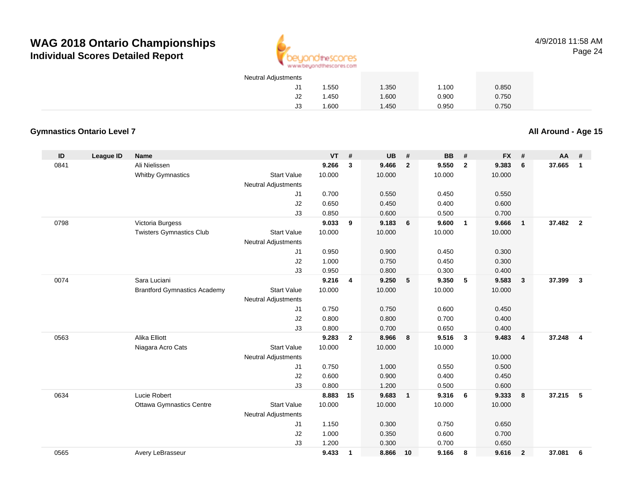

4/9/2018 11:58 AMPage 24

| <b>Neutral Adjustments</b> |       |       |       |       |
|----------------------------|-------|-------|-------|-------|
| J1                         | 1.550 | 1.350 | 1.100 | 0.850 |
| J2                         | 1.450 | 1.600 | 0.900 | 0.750 |
| JЗ                         | .600  | 1.450 | 0.950 | 0.750 |

### **Gymnastics Ontario Level 7**

**All Around - Age 15**

| ID   | <b>League ID</b> | <b>Name</b>                         |                            | <b>VT</b> | #              | <b>UB</b> | #              | <b>BB</b> | #                       | <b>FX</b> | #                       | AA     | #              |
|------|------------------|-------------------------------------|----------------------------|-----------|----------------|-----------|----------------|-----------|-------------------------|-----------|-------------------------|--------|----------------|
| 0841 |                  | Ali Nielissen                       |                            | 9.266     | 3              | 9.466     | $\overline{2}$ | 9.550     | $\overline{2}$          | 9.383     | 6                       | 37.665 | $\mathbf{1}$   |
|      |                  | <b>Whitby Gymnastics</b>            | <b>Start Value</b>         | 10.000    |                | 10.000    |                | 10.000    |                         | 10.000    |                         |        |                |
|      |                  |                                     | <b>Neutral Adjustments</b> |           |                |           |                |           |                         |           |                         |        |                |
|      |                  |                                     | J1                         | 0.700     |                | 0.550     |                | 0.450     |                         | 0.550     |                         |        |                |
|      |                  |                                     | J2                         | 0.650     |                | 0.450     |                | 0.400     |                         | 0.600     |                         |        |                |
|      |                  |                                     | J3                         | 0.850     |                | 0.600     |                | 0.500     |                         | 0.700     |                         |        |                |
| 0798 |                  | Victoria Burgess                    |                            | 9.033     | 9              | 9.183     | 6              | 9.600     | $\overline{\mathbf{1}}$ | 9.666     | $\overline{\mathbf{1}}$ | 37,482 | $\overline{2}$ |
|      |                  | <b>Twisters Gymnastics Club</b>     | <b>Start Value</b>         | 10.000    |                | 10.000    |                | 10.000    |                         | 10.000    |                         |        |                |
|      |                  |                                     | <b>Neutral Adjustments</b> |           |                |           |                |           |                         |           |                         |        |                |
|      |                  |                                     | J1                         | 0.950     |                | 0.900     |                | 0.450     |                         | 0.300     |                         |        |                |
|      |                  |                                     | J2                         | 1.000     |                | 0.750     |                | 0.450     |                         | 0.300     |                         |        |                |
|      |                  |                                     | J3                         | 0.950     |                | 0.800     |                | 0.300     |                         | 0.400     |                         |        |                |
| 0074 |                  | Sara Luciani                        |                            | 9.216     | 4              | 9.250     | 5              | 9.350     | 5                       | 9.583     | $\overline{\mathbf{3}}$ | 37.399 | $\mathbf{3}$   |
|      |                  | <b>Brantford Gymnastics Academy</b> | <b>Start Value</b>         | 10.000    |                | 10.000    |                | 10.000    |                         | 10.000    |                         |        |                |
|      |                  |                                     | <b>Neutral Adjustments</b> |           |                |           |                |           |                         |           |                         |        |                |
|      |                  |                                     | J1                         | 0.750     |                | 0.750     |                | 0.600     |                         | 0.450     |                         |        |                |
|      |                  |                                     | J2                         | 0.800     |                | 0.800     |                | 0.700     |                         | 0.400     |                         |        |                |
|      |                  |                                     | J3                         | 0.800     |                | 0.700     |                | 0.650     |                         | 0.400     |                         |        |                |
| 0563 |                  | Alika Elliott                       |                            | 9.283     | $\overline{2}$ | 8.966     | 8              | 9.516     | $\overline{3}$          | 9.483     | $\overline{\mathbf{4}}$ | 37.248 | $\overline{4}$ |
|      |                  | Niagara Acro Cats                   | <b>Start Value</b>         | 10.000    |                | 10.000    |                | 10.000    |                         |           |                         |        |                |
|      |                  |                                     | <b>Neutral Adjustments</b> |           |                |           |                |           |                         | 10.000    |                         |        |                |
|      |                  |                                     | J1                         | 0.750     |                | 1.000     |                | 0.550     |                         | 0.500     |                         |        |                |
|      |                  |                                     | J2                         | 0.600     |                | 0.900     |                | 0.400     |                         | 0.450     |                         |        |                |
|      |                  |                                     | J3                         | 0.800     |                | 1.200     |                | 0.500     |                         | 0.600     |                         |        |                |
| 0634 |                  | Lucie Robert                        |                            | 8.883     | 15             | 9.683     | $\mathbf{1}$   | 9.316     | 6                       | 9.333     | 8                       | 37.215 | - 5            |
|      |                  | <b>Ottawa Gymnastics Centre</b>     | <b>Start Value</b>         | 10.000    |                | 10.000    |                | 10.000    |                         | 10.000    |                         |        |                |
|      |                  |                                     | <b>Neutral Adjustments</b> |           |                |           |                |           |                         |           |                         |        |                |
|      |                  |                                     | J1                         | 1.150     |                | 0.300     |                | 0.750     |                         | 0.650     |                         |        |                |
|      |                  |                                     | J2                         | 1.000     |                | 0.350     |                | 0.600     |                         | 0.700     |                         |        |                |
|      |                  |                                     | J3                         | 1.200     |                | 0.300     |                | 0.700     |                         | 0.650     |                         |        |                |
| 0565 |                  | Avery LeBrasseur                    |                            | 9.433     | $\mathbf{1}$   | 8.866     | 10             | 9.166     | 8                       | 9.616     | $\overline{2}$          | 37.081 | 6              |
|      |                  |                                     |                            |           |                |           |                |           |                         |           |                         |        |                |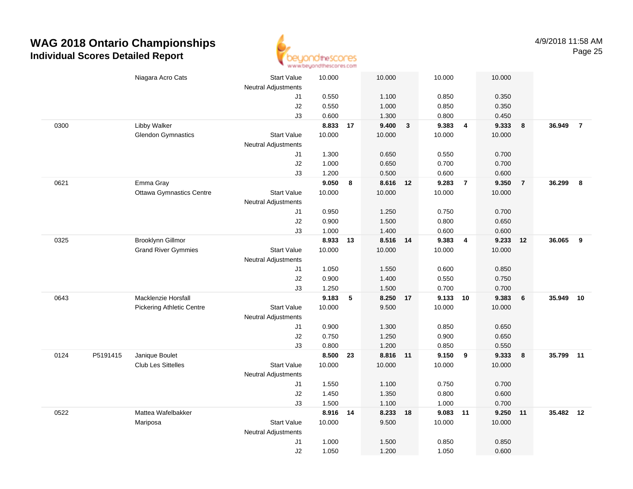

|      |          | Niagara Acro Cats                | <b>Start Value</b>         | 10.000   |    | 10.000   |              | 10.000   |                | 10.000 |                |           |                |
|------|----------|----------------------------------|----------------------------|----------|----|----------|--------------|----------|----------------|--------|----------------|-----------|----------------|
|      |          |                                  | <b>Neutral Adjustments</b> |          |    |          |              |          |                |        |                |           |                |
|      |          |                                  | J1                         | 0.550    |    | 1.100    |              | 0.850    |                | 0.350  |                |           |                |
|      |          |                                  | J2                         | 0.550    |    | 1.000    |              | 0.850    |                | 0.350  |                |           |                |
|      |          |                                  | J3                         | 0.600    |    | 1.300    |              | 0.800    |                | 0.450  |                |           |                |
| 0300 |          | Libby Walker                     |                            | 8.833 17 |    | 9.400    | $\mathbf{3}$ | 9.383    | $\overline{4}$ | 9.333  | 8              | 36.949    | $\overline{7}$ |
|      |          | <b>Glendon Gymnastics</b>        | <b>Start Value</b>         | 10.000   |    | 10.000   |              | 10.000   |                | 10.000 |                |           |                |
|      |          |                                  | <b>Neutral Adjustments</b> |          |    |          |              |          |                |        |                |           |                |
|      |          |                                  | J1                         | 1.300    |    | 0.650    |              | 0.550    |                | 0.700  |                |           |                |
|      |          |                                  | J2                         | 1.000    |    | 0.650    |              | 0.700    |                | 0.700  |                |           |                |
|      |          |                                  | J3                         | 1.200    |    | 0.500    |              | 0.600    |                | 0.600  |                |           |                |
| 0621 |          | Emma Gray                        |                            | 9.050    | 8  | 8.616 12 |              | 9.283    | $\overline{7}$ | 9.350  | $\overline{7}$ | 36.299    | 8              |
|      |          | <b>Ottawa Gymnastics Centre</b>  | <b>Start Value</b>         | 10.000   |    | 10.000   |              | 10.000   |                | 10.000 |                |           |                |
|      |          |                                  | Neutral Adjustments        |          |    |          |              |          |                |        |                |           |                |
|      |          |                                  | J1                         | 0.950    |    | 1.250    |              | 0.750    |                | 0.700  |                |           |                |
|      |          |                                  | J2                         | 0.900    |    | 1.500    |              | 0.800    |                | 0.650  |                |           |                |
|      |          |                                  | J3                         | 1.000    |    | 1.400    |              | 0.600    |                | 0.600  |                |           |                |
| 0325 |          | <b>Brooklynn Gillmor</b>         |                            | 8.933    | 13 | 8.516 14 |              | 9.383    | $\overline{4}$ | 9.233  | 12             | 36.065    | 9              |
|      |          | <b>Grand River Gymmies</b>       | <b>Start Value</b>         | 10.000   |    | 10.000   |              | 10.000   |                | 10.000 |                |           |                |
|      |          |                                  | <b>Neutral Adjustments</b> |          |    |          |              |          |                |        |                |           |                |
|      |          |                                  | J1                         | 1.050    |    | 1.550    |              | 0.600    |                | 0.850  |                |           |                |
|      |          |                                  | J2                         | 0.900    |    | 1.400    |              | 0.550    |                | 0.750  |                |           |                |
|      |          |                                  | J3                         | 1.250    |    | 1.500    |              | 0.700    |                | 0.700  |                |           |                |
| 0643 |          | Macklenzie Horsfall              |                            | 9.183    | 5  | 8.250    | 17           | 9.133    | 10             | 9.383  | 6              | 35.949    | 10             |
|      |          | <b>Pickering Athletic Centre</b> | <b>Start Value</b>         | 10.000   |    | 9.500    |              | 10.000   |                | 10.000 |                |           |                |
|      |          |                                  | <b>Neutral Adjustments</b> |          |    |          |              |          |                |        |                |           |                |
|      |          |                                  | J1                         | 0.900    |    | 1.300    |              | 0.850    |                | 0.650  |                |           |                |
|      |          |                                  | J2                         | 0.750    |    | 1.250    |              | 0.900    |                | 0.650  |                |           |                |
|      |          |                                  | J3                         | 0.800    |    | 1.200    |              | 0.850    |                | 0.550  |                |           |                |
| 0124 | P5191415 | Janique Boulet                   |                            | 8.500    | 23 | 8.816 11 |              | 9.150    | 9              | 9.333  | 8              | 35.799 11 |                |
|      |          | <b>Club Les Sittelles</b>        | <b>Start Value</b>         | 10.000   |    | 10.000   |              | 10.000   |                | 10.000 |                |           |                |
|      |          |                                  | Neutral Adjustments        |          |    |          |              |          |                |        |                |           |                |
|      |          |                                  | J1                         | 1.550    |    | 1.100    |              | 0.750    |                | 0.700  |                |           |                |
|      |          |                                  | J2                         | 1.450    |    | 1.350    |              | 0.800    |                | 0.600  |                |           |                |
|      |          |                                  | J3                         | 1.500    |    | 1.100    |              | 1.000    |                | 0.700  |                |           |                |
| 0522 |          | Mattea Wafelbakker               |                            | 8.916 14 |    | 8.233    | 18           | 9.083 11 |                | 9.250  | 11             | 35.482 12 |                |
|      |          | Mariposa                         | Start Value                | 10.000   |    | 9.500    |              | 10.000   |                | 10.000 |                |           |                |
|      |          |                                  | <b>Neutral Adjustments</b> |          |    |          |              |          |                |        |                |           |                |
|      |          |                                  | J1                         | 1.000    |    | 1.500    |              | 0.850    |                | 0.850  |                |           |                |
|      |          |                                  | J2                         | 1.050    |    | 1.200    |              | 1.050    |                | 0.600  |                |           |                |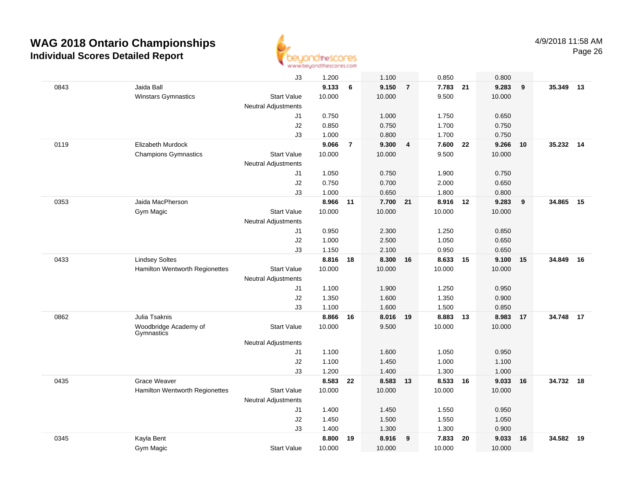

|      |                                     | J3                         | 1.200    |                | 1.100    |                | 0.850    |    | 0.800  |    |        |      |
|------|-------------------------------------|----------------------------|----------|----------------|----------|----------------|----------|----|--------|----|--------|------|
| 0843 | Jaida Ball                          |                            | 9.133    | 6              | 9.150    | $\overline{7}$ | 7.783 21 |    | 9.283  | 9  | 35.349 | 13   |
|      | Winstars Gymnastics                 | <b>Start Value</b>         | 10.000   |                | 10.000   |                | 9.500    |    | 10.000 |    |        |      |
|      |                                     | <b>Neutral Adjustments</b> |          |                |          |                |          |    |        |    |        |      |
|      |                                     | J1                         | 0.750    |                | 1.000    |                | 1.750    |    | 0.650  |    |        |      |
|      |                                     | J2                         | 0.850    |                | 0.750    |                | 1.700    |    | 0.750  |    |        |      |
|      |                                     | J3                         | 1.000    |                | 0.800    |                | 1.700    |    | 0.750  |    |        |      |
| 0119 | Elizabeth Murdock                   |                            | 9.066    | $\overline{7}$ | 9.300    | 4              | 7.600    | 22 | 9.266  | 10 | 35.232 | 14   |
|      | <b>Champions Gymnastics</b>         | <b>Start Value</b>         | 10.000   |                | 10.000   |                | 9.500    |    | 10.000 |    |        |      |
|      |                                     | <b>Neutral Adjustments</b> |          |                |          |                |          |    |        |    |        |      |
|      |                                     | J1                         | 1.050    |                | 0.750    |                | 1.900    |    | 0.750  |    |        |      |
|      |                                     | J2                         | 0.750    |                | 0.700    |                | 2.000    |    | 0.650  |    |        |      |
|      |                                     | J3                         | 1.000    |                | 0.650    |                | 1.800    |    | 0.800  |    |        |      |
| 0353 | Jaida MacPherson                    |                            | 8.966    | 11             | 7.700 21 |                | 8.916 12 |    | 9.283  | 9  | 34.865 | 15   |
|      | Gym Magic                           | <b>Start Value</b>         | 10.000   |                | 10.000   |                | 10.000   |    | 10.000 |    |        |      |
|      |                                     | <b>Neutral Adjustments</b> |          |                |          |                |          |    |        |    |        |      |
|      |                                     | J1                         | 0.950    |                | 2.300    |                | 1.250    |    | 0.850  |    |        |      |
|      |                                     | J2                         | 1.000    |                | 2.500    |                | 1.050    |    | 0.650  |    |        |      |
|      |                                     | J3                         | 1.150    |                | 2.100    |                | 0.950    |    | 0.650  |    |        |      |
| 0433 | <b>Lindsey Soltes</b>               |                            | 8.816 18 |                | 8.300 16 |                | 8.633    | 15 | 9.100  | 15 | 34.849 | - 16 |
|      | Hamilton Wentworth Regionettes      | <b>Start Value</b>         | 10.000   |                | 10.000   |                | 10.000   |    | 10.000 |    |        |      |
|      |                                     | <b>Neutral Adjustments</b> |          |                |          |                |          |    |        |    |        |      |
|      |                                     | J1                         | 1.100    |                | 1.900    |                | 1.250    |    | 0.950  |    |        |      |
|      |                                     | J2                         | 1.350    |                | 1.600    |                | 1.350    |    | 0.900  |    |        |      |
|      |                                     | J3                         | 1.100    |                | 1.600    |                | 1.500    |    | 0.850  |    |        |      |
| 0862 | Julia Tsaknis                       |                            | 8.866    | 16             | 8.016    | 19             | 8.883    | 13 | 8.983  | 17 | 34.748 | 17   |
|      | Woodbridge Academy of<br>Gymnastics | <b>Start Value</b>         | 10.000   |                | 9.500    |                | 10.000   |    | 10.000 |    |        |      |
|      |                                     | Neutral Adjustments        |          |                |          |                |          |    |        |    |        |      |
|      |                                     | J1                         | 1.100    |                | 1.600    |                | 1.050    |    | 0.950  |    |        |      |
|      |                                     | J2                         | 1.100    |                | 1.450    |                | 1.000    |    | 1.100  |    |        |      |
|      |                                     | JЗ                         | 1.200    |                | 1.400    |                | 1.300    |    | 1.000  |    |        |      |
| 0435 | <b>Grace Weaver</b>                 |                            | 8.583    | 22             | 8.583    | 13             | 8.533    | 16 | 9.033  | 16 | 34.732 | 18   |
|      | Hamilton Wentworth Regionettes      | <b>Start Value</b>         | 10.000   |                | 10.000   |                | 10.000   |    | 10.000 |    |        |      |
|      |                                     | <b>Neutral Adjustments</b> |          |                |          |                |          |    |        |    |        |      |
|      |                                     | J1                         | 1.400    |                | 1.450    |                | 1.550    |    | 0.950  |    |        |      |
|      |                                     | J2                         | 1.450    |                | 1.500    |                | 1.550    |    | 1.050  |    |        |      |
|      |                                     | J3                         | 1.400    |                | 1.300    |                | 1.300    |    | 0.900  |    |        |      |
| 0345 | Kayla Bent                          |                            | 8.800    | 19             | 8.916    | 9              | 7.833    | 20 | 9.033  | 16 | 34.582 | 19   |
|      | Gym Magic                           | <b>Start Value</b>         | 10.000   |                | 10.000   |                | 10.000   |    | 10.000 |    |        |      |
|      |                                     |                            |          |                |          |                |          |    |        |    |        |      |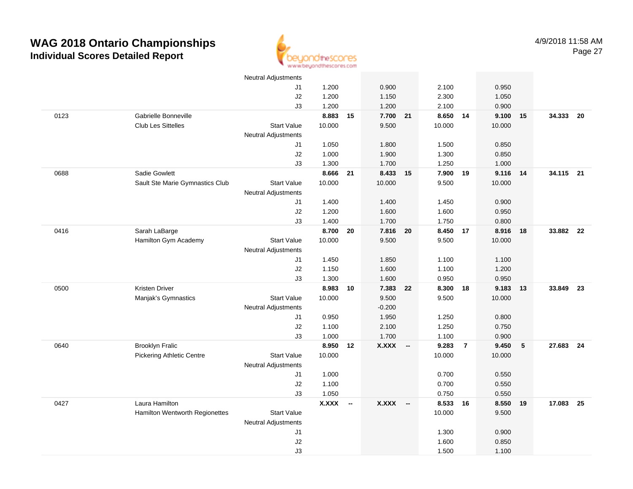

|      |                                  | <b>Neutral Adjustments</b> |                |    |              |        |                |                |                |    |           |      |
|------|----------------------------------|----------------------------|----------------|----|--------------|--------|----------------|----------------|----------------|----|-----------|------|
|      |                                  | J1                         | 1.200          |    | 0.900        |        | 2.100          |                | 0.950          |    |           |      |
|      |                                  | J2                         | 1.200          |    | 1.150        |        | 2.300          |                | 1.050          |    |           |      |
|      |                                  | J3                         | 1.200          |    | 1.200        |        | 2.100          |                | 0.900          |    |           |      |
| 0123 | Gabrielle Bonneville             |                            | 8.883          | 15 | 7.700 21     |        | 8.650 14       |                | 9.100          | 15 | 34.333    | - 20 |
|      | Club Les Sittelles               | <b>Start Value</b>         | 10.000         |    | 9.500        |        | 10.000         |                | 10.000         |    |           |      |
|      |                                  | <b>Neutral Adjustments</b> |                |    |              |        |                |                |                |    |           |      |
|      |                                  | J1                         | 1.050          |    | 1.800        |        | 1.500          |                | 0.850          |    |           |      |
|      |                                  | J2                         | 1.000          |    | 1.900        |        | 1.300          |                | 0.850          |    |           |      |
|      |                                  | J3                         | 1.300          |    | 1.700        |        | 1.250          |                | 1.000          |    |           |      |
| 0688 | Sadie Gowlett                    |                            | 8.666          | 21 | 8.433 15     |        | 7.900          | 19             | 9.116          | 14 | 34.115 21 |      |
|      | Sault Ste Marie Gymnastics Club  | <b>Start Value</b>         | 10.000         |    | 10.000       |        | 9.500          |                | 10.000         |    |           |      |
|      |                                  | <b>Neutral Adjustments</b> |                |    |              |        |                |                |                |    |           |      |
|      |                                  | J1                         | 1.400          |    | 1.400        |        | 1.450          |                | 0.900          |    |           |      |
|      |                                  | J2                         | 1.200          |    | 1.600        |        | 1.600          |                | 0.950          |    |           |      |
|      |                                  | J3                         | 1.400          |    | 1.700        |        | 1.750          |                | 0.800          |    |           |      |
| 0416 | Sarah LaBarge                    |                            | 8.700          | 20 | 7.816 20     |        | 8.450 17       |                | 8.916          | 18 | 33.882 22 |      |
|      | Hamilton Gym Academy             | <b>Start Value</b>         | 10.000         |    | 9.500        |        | 9.500          |                | 10.000         |    |           |      |
|      |                                  | <b>Neutral Adjustments</b> |                |    |              |        |                |                |                |    |           |      |
|      |                                  | J1                         | 1.450          |    | 1.850        |        | 1.100          |                | 1.100          |    |           |      |
|      |                                  | J2                         | 1.150          |    | 1.600        |        | 1.100          |                | 1.200          |    |           |      |
|      |                                  | J3                         | 1.300          |    | 1.600        |        | 0.950          |                | 0.950          |    |           |      |
| 0500 | <b>Kristen Driver</b>            |                            | 8.983          | 10 | 7.383        | 22     | 8.300          | 18             | 9.183          | 13 | 33.849    | - 23 |
|      | Manjak's Gymnastics              | <b>Start Value</b>         | 10.000         |    | 9.500        |        | 9.500          |                | 10.000         |    |           |      |
|      |                                  | <b>Neutral Adjustments</b> |                |    | $-0.200$     |        |                |                |                |    |           |      |
|      |                                  | J1                         | 0.950          |    | 1.950        |        | 1.250          |                | 0.800          |    |           |      |
|      |                                  | J2                         | 1.100          |    | 2.100        |        | 1.250          |                | 0.750          |    |           |      |
|      |                                  | J3                         | 1.000          |    | 1.700        |        | 1.100          |                | 0.900          |    |           |      |
| 0640 | <b>Brooklyn Fralic</b>           |                            | 8.950 12       |    | <b>X.XXX</b> | $\sim$ | 9.283          | $\overline{7}$ | 9.450          | 5  | 27.683 24 |      |
|      | <b>Pickering Athletic Centre</b> | <b>Start Value</b>         | 10.000         |    |              |        | 10.000         |                | 10.000         |    |           |      |
|      |                                  | <b>Neutral Adjustments</b> |                |    |              |        |                |                |                |    |           |      |
|      |                                  | J1                         | 1.000          |    |              |        | 0.700          |                | 0.550          |    |           |      |
|      |                                  | J2                         | 1.100<br>1.050 |    |              |        | 0.700<br>0.750 |                | 0.550<br>0.550 |    |           |      |
| 0427 | Laura Hamilton                   | J3                         | $X.XXX$ -      |    | <b>X.XXX</b> | $\sim$ | 8.533          | 16             | 8.550          | 19 | 17.083    | 25   |
|      | Hamilton Wentworth Regionettes   | <b>Start Value</b>         |                |    |              |        | 10.000         |                | 9.500          |    |           |      |
|      |                                  | <b>Neutral Adjustments</b> |                |    |              |        |                |                |                |    |           |      |
|      |                                  | J1                         |                |    |              |        | 1.300          |                | 0.900          |    |           |      |
|      |                                  | J2                         |                |    |              |        | 1.600          |                | 0.850          |    |           |      |
|      |                                  | J3                         |                |    |              |        | 1.500          |                | 1.100          |    |           |      |
|      |                                  |                            |                |    |              |        |                |                |                |    |           |      |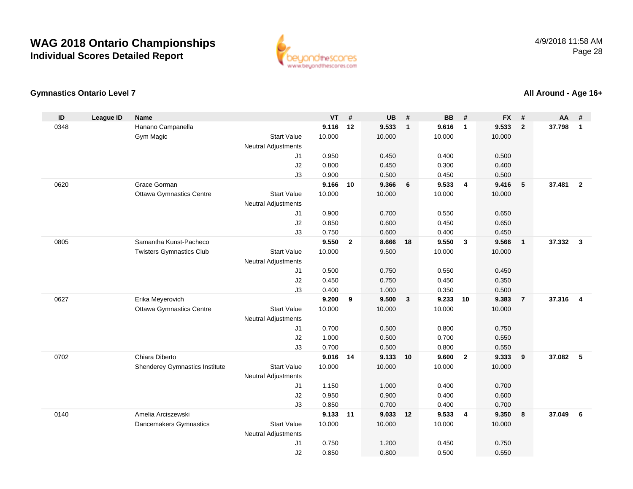

#### **Gymnastics Ontario Level 7**

#### **ID League ID Name VT # UB # BB # FX # AA #** 0348 Hanano Campanella **9.116 <sup>12</sup> 9.533 <sup>1</sup> 9.616 <sup>1</sup> 9.533 <sup>2</sup> 37.798 <sup>1</sup>** Gym Magic Start Valuee 10.000 10.000 10.000 10.000 Neutral Adjustments J1 0.950 0.450 0.400 0.500 J2 0.800 0.450 0.300 0.400 J3 0.900 0.500 0.450 0.500 0620 Grace Gorman **9.166 <sup>10</sup> 9.366 <sup>6</sup> 9.533 <sup>4</sup> 9.416 <sup>5</sup> 37.481 <sup>2</sup>** Ottawa Gymnastics Centre Start Value 10.000 10.000 10.000 10.000 Neutral Adjustments J1 0.900 0.700 0.550 0.650 J2 0.850 0.600 0.450 0.650 J3 0.750 0.600 0.400 0.450 0805 Samantha Kunst-Pacheco **9.550 <sup>2</sup> 8.666 <sup>18</sup> 9.550 <sup>3</sup> 9.566 <sup>1</sup> 37.332 <sup>3</sup>** Twisters Gymnastics Club Start Value 10.000 9.500 10.000 10.000 Neutral Adjustments J1 0.500 0.750 0.550 0.450 J2 0.450 0.750 0.450 0.350 J3 0.400 1.000 0.350 0.500 0627 Erika Meyerovich **9.200 <sup>9</sup> 9.500 <sup>3</sup> 9.233 <sup>10</sup> 9.383 <sup>7</sup> 37.316 <sup>4</sup>** Ottawa Gymnastics Centre Start Value 10.000 10.000 10.000 10.000 Neutral Adjustments J1 0.700 0.500 0.800 0.750 J2 1.000 0.500 0.700 0.550 J3 0.700 0.500 0.800 0.550 0702 Chiara Diberto **9.016 <sup>14</sup> 9.133 <sup>10</sup> 9.600 <sup>2</sup> 9.333 <sup>9</sup> 37.082 <sup>5</sup>** Shenderey Gymnastics Institute Start Value 10.000 10.000 10.000 10.000 Neutral Adjustments J1 1.150 1.000 0.400 0.700 J2 0.950 0.900 0.400 0.600 J3 0.850 0.700 0.400 0.700 0140 Amelia Arciszewski **9.133 <sup>11</sup> 9.033 <sup>12</sup> 9.533 <sup>4</sup> 9.350 <sup>8</sup> 37.049 <sup>6</sup>** Dancemakers Gymnastics Start Valuee 10.000 10.000 10.000 10.000 Neutral Adjustments J10.750 1.200 0.450 0.750

J2

0.850 0.800 0.500 0.550

#### **All Around - Age 16+**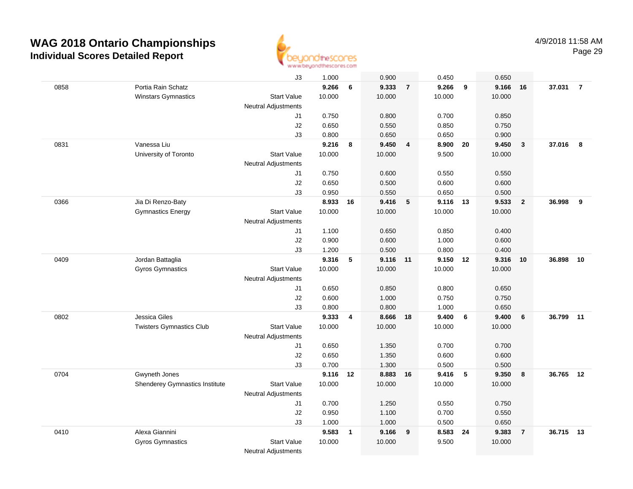

|      |                                       | J3                         | 1.000    |              | 0.900    |                 | 0.450    |                          | 0.650  |                |           |                |
|------|---------------------------------------|----------------------------|----------|--------------|----------|-----------------|----------|--------------------------|--------|----------------|-----------|----------------|
| 0858 | Portia Rain Schatz                    |                            | 9.266    | 6            | 9.333    | $\overline{7}$  | 9.266    | 9                        | 9.166  | 16             | 37.031    | $\overline{7}$ |
|      | <b>Winstars Gymnastics</b>            | <b>Start Value</b>         | 10.000   |              | 10.000   |                 | 10.000   |                          | 10.000 |                |           |                |
|      |                                       | <b>Neutral Adjustments</b> |          |              |          |                 |          |                          |        |                |           |                |
|      |                                       | J1                         | 0.750    |              | 0.800    |                 | 0.700    |                          | 0.850  |                |           |                |
|      |                                       | J2                         | 0.650    |              | 0.550    |                 | 0.850    |                          | 0.750  |                |           |                |
|      |                                       | J3                         | 0.800    |              | 0.650    |                 | 0.650    |                          | 0.900  |                |           |                |
| 0831 | Vanessa Liu                           |                            | 9.216    | 8            | 9.450    | 4               | 8.900    | 20                       | 9.450  | $\mathbf{3}$   | 37.016    | 8              |
|      | University of Toronto                 | <b>Start Value</b>         | 10.000   |              | 10.000   |                 | 9.500    |                          | 10.000 |                |           |                |
|      |                                       | Neutral Adjustments        |          |              |          |                 |          |                          |        |                |           |                |
|      |                                       | J1                         | 0.750    |              | 0.600    |                 | 0.550    |                          | 0.550  |                |           |                |
|      |                                       | J2                         | 0.650    |              | 0.500    |                 | 0.600    |                          | 0.600  |                |           |                |
|      |                                       | J3                         | 0.950    |              | 0.550    |                 | 0.650    |                          | 0.500  |                |           |                |
| 0366 | Jia Di Renzo-Baty                     |                            | 8.933    | 16           | 9.416    | $5\phantom{.0}$ | 9.116 13 |                          | 9.533  | $\overline{2}$ | 36.998    | 9              |
|      | <b>Gymnastics Energy</b>              | <b>Start Value</b>         | 10.000   |              | 10.000   |                 | 10.000   |                          | 10.000 |                |           |                |
|      |                                       | <b>Neutral Adjustments</b> |          |              |          |                 |          |                          |        |                |           |                |
|      |                                       | J1                         | 1.100    |              | 0.650    |                 | 0.850    |                          | 0.400  |                |           |                |
|      |                                       | J2                         | 0.900    |              | 0.600    |                 | 1.000    |                          | 0.600  |                |           |                |
|      |                                       | J3                         | 1.200    |              | 0.500    |                 | 0.800    |                          | 0.400  |                |           |                |
| 0409 | Jordan Battaglia                      |                            | 9.316    | $\sqrt{5}$   | 9.116 11 |                 | 9.150 12 |                          | 9.316  | 10             | 36.898    | 10             |
|      | <b>Gyros Gymnastics</b>               | <b>Start Value</b>         | 10.000   |              | 10.000   |                 | 10.000   |                          | 10.000 |                |           |                |
|      |                                       | Neutral Adjustments        |          |              |          |                 |          |                          |        |                |           |                |
|      |                                       | J1                         | 0.650    |              | 0.850    |                 | 0.800    |                          | 0.650  |                |           |                |
|      |                                       | J2                         | 0.600    |              | 1.000    |                 | 0.750    |                          | 0.750  |                |           |                |
|      |                                       | J3                         | 0.800    |              | 0.800    |                 | 1.000    |                          | 0.650  |                |           |                |
| 0802 | Jessica Giles                         |                            | 9.333    | 4            | 8.666    | 18              | 9.400    | 6                        | 9.400  | 6              | 36.799    | 11             |
|      | <b>Twisters Gymnastics Club</b>       | Start Value                | 10.000   |              | 10.000   |                 | 10.000   |                          | 10.000 |                |           |                |
|      |                                       | Neutral Adjustments        |          |              |          |                 |          |                          |        |                |           |                |
|      |                                       | J1                         | 0.650    |              | 1.350    |                 | 0.700    |                          | 0.700  |                |           |                |
|      |                                       | J2                         | 0.650    |              | 1.350    |                 | 0.600    |                          | 0.600  |                |           |                |
|      |                                       | J3                         | 0.700    |              | 1.300    |                 | 0.500    |                          | 0.500  |                |           |                |
| 0704 | Gwyneth Jones                         |                            | 9.116 12 |              | 8.883    | 16              | 9.416    | $\overline{\phantom{0}}$ | 9.350  | 8              | 36.765 12 |                |
|      | <b>Shenderey Gymnastics Institute</b> | <b>Start Value</b>         | 10.000   |              | 10.000   |                 | 10.000   |                          | 10.000 |                |           |                |
|      |                                       | Neutral Adjustments        |          |              |          |                 |          |                          |        |                |           |                |
|      |                                       | J1                         | 0.700    |              | 1.250    |                 | 0.550    |                          | 0.750  |                |           |                |
|      |                                       | J2                         | 0.950    |              | 1.100    |                 | 0.700    |                          | 0.550  |                |           |                |
|      |                                       | J3                         | 1.000    |              | 1.000    |                 | 0.500    |                          | 0.650  |                |           |                |
| 0410 | Alexa Giannini                        |                            | 9.583    | $\mathbf{1}$ | 9.166    | 9               | 8.583    | 24                       | 9.383  | $\overline{7}$ | 36.715    | 13             |
|      | <b>Gyros Gymnastics</b>               | <b>Start Value</b>         | 10.000   |              | 10.000   |                 | 9.500    |                          | 10.000 |                |           |                |
|      |                                       | <b>Neutral Adjustments</b> |          |              |          |                 |          |                          |        |                |           |                |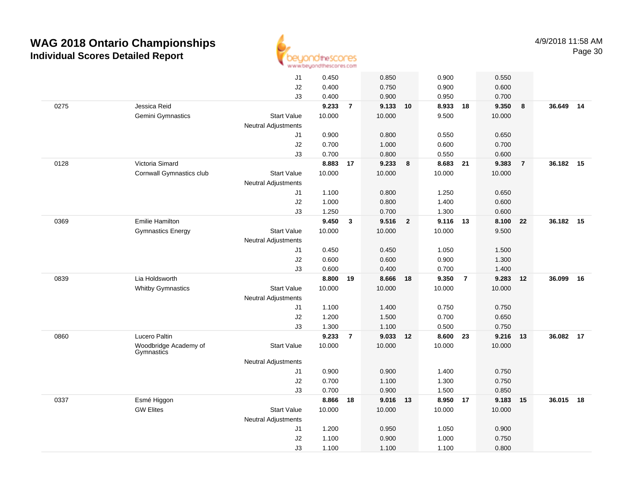

|      |                          | J1                         | 0.450          |                | 0.850    |                | 0.900          |                | 0.550  |                |           |    |
|------|--------------------------|----------------------------|----------------|----------------|----------|----------------|----------------|----------------|--------|----------------|-----------|----|
|      |                          | J2                         | 0.400          |                | 0.750    |                | 0.900          |                | 0.600  |                |           |    |
|      |                          | J3                         | 0.400          |                | 0.900    |                | 0.950          |                | 0.700  |                |           |    |
| 0275 | Jessica Reid             |                            | 9.233          | $\overline{7}$ | 9.133 10 |                | 8.933 18       |                | 9.350  | 8              | 36.649 14 |    |
|      | Gemini Gymnastics        | <b>Start Value</b>         | 10.000         |                | 10.000   |                | 9.500          |                | 10.000 |                |           |    |
|      |                          | <b>Neutral Adjustments</b> |                |                |          |                |                |                |        |                |           |    |
|      |                          | J1                         | 0.900          |                | 0.800    |                | 0.550          |                | 0.650  |                |           |    |
|      |                          | J2                         | 0.700          |                | 1.000    |                | 0.600          |                | 0.700  |                |           |    |
|      |                          | J3                         | 0.700          |                | 0.800    |                | 0.550          |                | 0.600  |                |           |    |
| 0128 | Victoria Simard          |                            | 8.883          | 17             | 9.233    | 8              | 8.683 21       |                | 9.383  | $\overline{7}$ | 36.182 15 |    |
|      | Cornwall Gymnastics club | <b>Start Value</b>         | 10.000         |                | 10.000   |                | 10.000         |                | 10.000 |                |           |    |
|      |                          | <b>Neutral Adjustments</b> |                |                |          |                |                |                |        |                |           |    |
|      |                          | J1                         | 1.100          |                | 0.800    |                | 1.250          |                | 0.650  |                |           |    |
|      |                          | J2                         | 1.000          |                | 0.800    |                | 1.400          |                | 0.600  |                |           |    |
|      |                          | J3                         | 1.250          |                | 0.700    |                | 1.300          |                | 0.600  |                |           |    |
| 0369 | <b>Emilie Hamilton</b>   |                            | 9.450          | $\mathbf{3}$   | 9.516    | $\overline{2}$ | 9.116 13       |                | 8.100  | 22             | 36.182    | 15 |
|      | <b>Gymnastics Energy</b> | <b>Start Value</b>         | 10.000         |                | 10.000   |                | 10.000         |                | 9.500  |                |           |    |
|      |                          | <b>Neutral Adjustments</b> |                |                |          |                |                |                |        |                |           |    |
|      |                          | J1                         | 0.450          |                | 0.450    |                | 1.050          |                | 1.500  |                |           |    |
|      |                          | J2                         | 0.600          |                | 0.600    |                | 0.900          |                | 1.300  |                |           |    |
|      |                          | J3                         | 0.600          |                | 0.400    |                | 0.700          |                | 1.400  |                |           |    |
| 0839 | Lia Holdsworth           |                            | 8.800          | 19             | 8.666 18 |                | 9.350          | $\overline{7}$ | 9.283  | 12             | 36.099    | 16 |
|      | <b>Whitby Gymnastics</b> | <b>Start Value</b>         | 10.000         |                | 10.000   |                | 10.000         |                | 10.000 |                |           |    |
|      |                          | <b>Neutral Adjustments</b> |                |                |          |                |                |                |        |                |           |    |
|      |                          | J1                         | 1.100          |                | 1.400    |                | 0.750          |                | 0.750  |                |           |    |
|      |                          | J2                         | 1.200          |                | 1.500    |                | 0.700          |                | 0.650  |                |           |    |
|      |                          | J3                         | 1.300          |                | 1.100    |                | 0.500          |                | 0.750  |                |           |    |
| 0860 | Lucero Paltin            |                            | 9.233          | $\overline{7}$ | 9.033    | 12             | 8.600          | 23             | 9.216  | - 13           | 36.082    | 17 |
|      | Woodbridge Academy of    | <b>Start Value</b>         | 10.000         |                | 10.000   |                | 10.000         |                | 10.000 |                |           |    |
|      | Gymnastics               |                            |                |                |          |                |                |                |        |                |           |    |
|      |                          | <b>Neutral Adjustments</b> |                |                |          |                |                |                |        |                |           |    |
|      |                          | J1                         | 0.900          |                | 0.900    |                | 1.400          |                | 0.750  |                |           |    |
|      |                          | J2                         | 0.700<br>0.700 |                | 1.100    |                | 1.300<br>1.500 |                | 0.750  |                |           |    |
|      |                          | J3                         |                |                | 0.900    |                |                |                | 0.850  |                |           | 18 |
| 0337 | Esmé Higgon              |                            | 8.866          | 18             | 9.016 13 |                | 8.950 17       |                | 9.183  | 15             | 36.015    |    |
|      | <b>GW Elites</b>         | <b>Start Value</b>         | 10.000         |                | 10.000   |                | 10.000         |                | 10.000 |                |           |    |
|      |                          | <b>Neutral Adjustments</b> |                |                |          |                |                |                |        |                |           |    |
|      |                          | J1                         | 1.200          |                | 0.950    |                | 1.050          |                | 0.900  |                |           |    |
|      |                          | J2                         | 1.100          |                | 0.900    |                | 1.000          |                | 0.750  |                |           |    |
|      |                          | J3                         | 1.100          |                | 1.100    |                | 1.100          |                | 0.800  |                |           |    |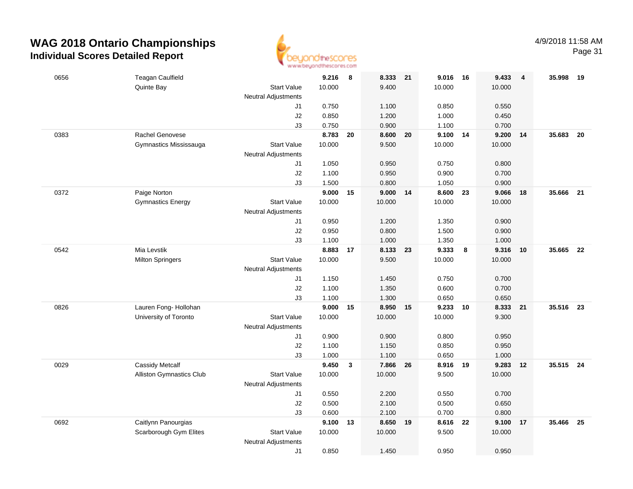

Page 31

| 0656 | <b>Teagan Caulfield</b>         |                            | 9.216          | 8            | 8.333          | 21 | 9.016          | 16               | 9.433          | $\overline{4}$ | 35.998    | - 19 |
|------|---------------------------------|----------------------------|----------------|--------------|----------------|----|----------------|------------------|----------------|----------------|-----------|------|
|      | Quinte Bay                      | <b>Start Value</b>         | 10.000         |              | 9.400          |    | 10.000         |                  | 10.000         |                |           |      |
|      |                                 | <b>Neutral Adjustments</b> |                |              |                |    |                |                  |                |                |           |      |
|      |                                 | J1                         | 0.750          |              | 1.100          |    | 0.850          |                  | 0.550          |                |           |      |
|      |                                 | J2                         | 0.850          |              | 1.200          |    | 1.000          |                  | 0.450          |                |           |      |
|      |                                 | J3                         | 0.750          |              | 0.900          |    | 1.100          |                  | 0.700          |                |           |      |
| 0383 | Rachel Genovese                 |                            | 8.783          | 20           | 8.600          | 20 | 9.100          | 14               | 9.200          | 14             | 35.683    | 20   |
|      | Gymnastics Mississauga          | <b>Start Value</b>         | 10.000         |              | 9.500          |    | 10.000         |                  | 10.000         |                |           |      |
|      |                                 | Neutral Adjustments        |                |              |                |    |                |                  |                |                |           |      |
|      |                                 | J1                         | 1.050          |              | 0.950          |    | 0.750          |                  | 0.800          |                |           |      |
|      |                                 | J2                         | 1.100          |              | 0.950          |    | 0.900          |                  | 0.700          |                |           |      |
|      |                                 | J3                         | 1.500          |              | 0.800          |    | 1.050          |                  | 0.900          |                |           |      |
| 0372 | Paige Norton                    |                            | 9.000          | 15           | 9.000          | 14 | 8.600          | 23               | 9.066          | 18             | 35.666    | 21   |
|      | <b>Gymnastics Energy</b>        | <b>Start Value</b>         | 10.000         |              | 10.000         |    | 10.000         |                  | 10.000         |                |           |      |
|      |                                 | <b>Neutral Adjustments</b> |                |              |                |    |                |                  |                |                |           |      |
|      |                                 | J1                         | 0.950          |              | 1.200          |    | 1.350          |                  | 0.900          |                |           |      |
|      |                                 | J2                         | 0.950          |              | 0.800          |    | 1.500          |                  | 0.900          |                |           |      |
|      |                                 | J3                         | 1.100          |              | 1.000          |    | 1.350          |                  | 1.000          |                |           |      |
| 0542 | Mia Levstik                     |                            | 8.883          | 17           | 8.133          | 23 | 9.333          | $\boldsymbol{8}$ | 9.316          | 10             | 35.665    | 22   |
|      | <b>Milton Springers</b>         | <b>Start Value</b>         | 10.000         |              | 9.500          |    | 10.000         |                  | 10.000         |                |           |      |
|      |                                 | <b>Neutral Adjustments</b> |                |              |                |    |                |                  |                |                |           |      |
|      |                                 | J1                         | 1.150<br>1.100 |              | 1.450<br>1.350 |    | 0.750<br>0.600 |                  | 0.700<br>0.700 |                |           |      |
|      |                                 | J2<br>J3                   | 1.100          |              | 1.300          |    | 0.650          |                  | 0.650          |                |           |      |
| 0826 | Lauren Fong- Hollohan           |                            | 9.000          | 15           | 8.950          | 15 | 9.233          | 10               | 8.333          | 21             | 35.516    | 23   |
|      | University of Toronto           | <b>Start Value</b>         | 10.000         |              | 10.000         |    | 10.000         |                  | 9.300          |                |           |      |
|      |                                 | <b>Neutral Adjustments</b> |                |              |                |    |                |                  |                |                |           |      |
|      |                                 | J1                         | 0.900          |              | 0.900          |    | 0.800          |                  | 0.950          |                |           |      |
|      |                                 | $\sf J2$                   | 1.100          |              | 1.150          |    | 0.850          |                  | 0.950          |                |           |      |
|      |                                 | J3                         | 1.000          |              | 1.100          |    | 0.650          |                  | 1.000          |                |           |      |
| 0029 | <b>Cassidy Metcalf</b>          |                            | 9.450          | $\mathbf{3}$ | 7.866          | 26 | 8.916 19       |                  | 9.283          | 12             | 35.515 24 |      |
|      | <b>Alliston Gymnastics Club</b> | <b>Start Value</b>         | 10.000         |              | 10.000         |    | 9.500          |                  | 10.000         |                |           |      |
|      |                                 | <b>Neutral Adjustments</b> |                |              |                |    |                |                  |                |                |           |      |
|      |                                 | J1                         | 0.550          |              | 2.200          |    | 0.550          |                  | 0.700          |                |           |      |
|      |                                 | J2                         | 0.500          |              | 2.100          |    | 0.500          |                  | 0.650          |                |           |      |
|      |                                 | J3                         | 0.600          |              | 2.100          |    | 0.700          |                  | 0.800          |                |           |      |
| 0692 | Caitlynn Panourgias             |                            | 9.100          | 13           | 8.650          | 19 | 8.616          | 22               | 9.100          | 17             | 35.466    | 25   |
|      | Scarborough Gym Elites          | <b>Start Value</b>         | 10.000         |              | 10.000         |    | 9.500          |                  | 10.000         |                |           |      |
|      |                                 | Neutral Adjustments        |                |              |                |    |                |                  |                |                |           |      |
|      |                                 | J1                         | 0.850          |              | 1.450          |    | 0.950          |                  | 0.950          |                |           |      |
|      |                                 |                            |                |              |                |    |                |                  |                |                |           |      |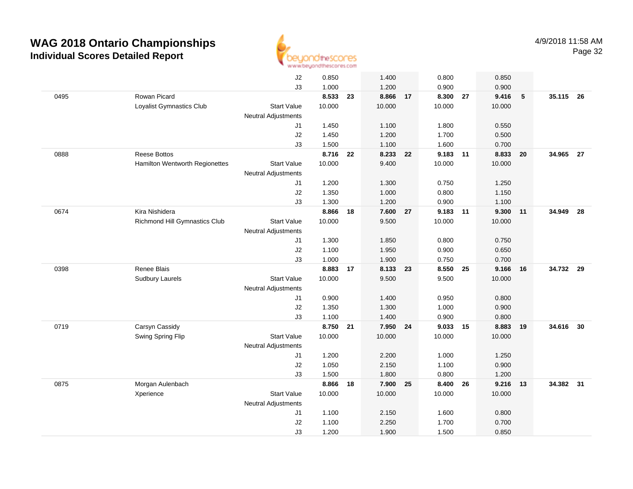

|      |                                | J2                         | 0.850  |    | 1.400    |    | 0.800    |    | 0.850  |                 |           |    |
|------|--------------------------------|----------------------------|--------|----|----------|----|----------|----|--------|-----------------|-----------|----|
|      |                                | J3                         | 1.000  |    | 1.200    |    | 0.900    |    | 0.900  |                 |           |    |
| 0495 | Rowan Picard                   |                            | 8.533  | 23 | 8.866 17 |    | 8.300 27 |    | 9.416  | $5\phantom{.0}$ | 35.115 26 |    |
|      | Loyalist Gymnastics Club       | <b>Start Value</b>         | 10.000 |    | 10.000   |    | 10.000   |    | 10.000 |                 |           |    |
|      |                                | <b>Neutral Adjustments</b> |        |    |          |    |          |    |        |                 |           |    |
|      |                                | J1                         | 1.450  |    | 1.100    |    | 1.800    |    | 0.550  |                 |           |    |
|      |                                | J2                         | 1.450  |    | 1.200    |    | 1.700    |    | 0.500  |                 |           |    |
|      |                                | J3                         | 1.500  |    | 1.100    |    | 1.600    |    | 0.700  |                 |           |    |
| 0888 | Reese Bottos                   |                            | 8.716  | 22 | 8.233 22 |    | 9.183    | 11 | 8.833  | 20              | 34.965 27 |    |
|      | Hamilton Wentworth Regionettes | <b>Start Value</b>         | 10.000 |    | 9.400    |    | 10.000   |    | 10.000 |                 |           |    |
|      |                                | Neutral Adjustments        |        |    |          |    |          |    |        |                 |           |    |
|      |                                | J1                         | 1.200  |    | 1.300    |    | 0.750    |    | 1.250  |                 |           |    |
|      |                                | J2                         | 1.350  |    | 1.000    |    | 0.800    |    | 1.150  |                 |           |    |
|      |                                | J3                         | 1.300  |    | 1.200    |    | 0.900    |    | 1.100  |                 |           |    |
| 0674 | Kira Nishidera                 |                            | 8.866  | 18 | 7.600 27 |    | 9.183 11 |    | 9.300  | 11              | 34.949    | 28 |
|      | Richmond Hill Gymnastics Club  | <b>Start Value</b>         | 10.000 |    | 9.500    |    | 10.000   |    | 10.000 |                 |           |    |
|      |                                | <b>Neutral Adjustments</b> |        |    |          |    |          |    |        |                 |           |    |
|      |                                | J1                         | 1.300  |    | 1.850    |    | 0.800    |    | 0.750  |                 |           |    |
|      |                                | J2                         | 1.100  |    | 1.950    |    | 0.900    |    | 0.650  |                 |           |    |
|      |                                | J3                         | 1.000  |    | 1.900    |    | 0.750    |    | 0.700  |                 |           |    |
| 0398 | Renee Blais                    |                            | 8.883  | 17 | 8.133    | 23 | 8.550    | 25 | 9.166  | 16              | 34.732 29 |    |
|      | <b>Sudbury Laurels</b>         | <b>Start Value</b>         | 10.000 |    | 9.500    |    | 9.500    |    | 10.000 |                 |           |    |
|      |                                | <b>Neutral Adjustments</b> |        |    |          |    |          |    |        |                 |           |    |
|      |                                | J1                         | 0.900  |    | 1.400    |    | 0.950    |    | 0.800  |                 |           |    |
|      |                                | J2                         | 1.350  |    | 1.300    |    | 1.000    |    | 0.900  |                 |           |    |
|      |                                | J3                         | 1.100  |    | 1.400    |    | 0.900    |    | 0.800  |                 |           |    |
| 0719 | Carsyn Cassidy                 |                            | 8.750  | 21 | 7.950    | 24 | 9.033    | 15 | 8.883  | 19              | 34.616    | 30 |
|      | Swing Spring Flip              | <b>Start Value</b>         | 10.000 |    | 10.000   |    | 10.000   |    | 10.000 |                 |           |    |
|      |                                | <b>Neutral Adjustments</b> |        |    |          |    |          |    |        |                 |           |    |
|      |                                | J1                         | 1.200  |    | 2.200    |    | 1.000    |    | 1.250  |                 |           |    |
|      |                                | J2                         | 1.050  |    | 2.150    |    | 1.100    |    | 0.900  |                 |           |    |
|      |                                | J3                         | 1.500  |    | 1.800    |    | 0.800    |    | 1.200  |                 |           |    |
| 0875 | Morgan Aulenbach               |                            | 8.866  | 18 | 7.900    | 25 | 8.400    | 26 | 9.216  | 13              | 34.382 31 |    |
|      | Xperience                      | <b>Start Value</b>         | 10.000 |    | 10.000   |    | 10.000   |    | 10.000 |                 |           |    |
|      |                                | Neutral Adjustments        |        |    |          |    |          |    |        |                 |           |    |
|      |                                | J1                         | 1.100  |    | 2.150    |    | 1.600    |    | 0.800  |                 |           |    |
|      |                                | J2                         | 1.100  |    | 2.250    |    | 1.700    |    | 0.700  |                 |           |    |
|      |                                | J3                         | 1.200  |    | 1.900    |    | 1.500    |    | 0.850  |                 |           |    |